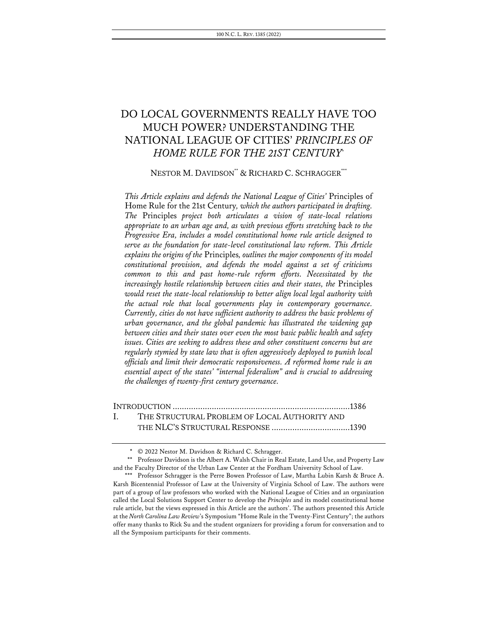# DO LOCAL GOVERNMENTS REALLY HAVE TOO MUCH POWER? UNDERSTANDING THE NATIONAL LEAGUE OF CITIES' *PRINCIPLES OF HOME RULE FOR THE 21ST CENTURY*\*

## NESTOR M. DAVIDSON<sup>\*\*</sup> & RICHARD C. SCHRAGGER<sup>\*\*\*</sup>

*This Article explains and defends the National League of Cities'* Principles of Home Rule for the 21st Century*, which the authors participated in drafting. The* Principles *project both articulates a vision of state-local relations appropriate to an urban age and, as with previous efforts stretching back to the Progressive Era, includes a model constitutional home rule article designed to serve as the foundation for state-level constitutional law reform. This Article explains the origins of the* Principles*, outlines the major components of its model constitutional provision, and defends the model against a set of criticisms common to this and past home-rule reform efforts. Necessitated by the increasingly hostile relationship between cities and their states, the* Principles *would reset the state-local relationship to better align local legal authority with the actual role that local governments play in contemporary governance. Currently, cities do not have sufficient authority to address the basic problems of urban governance, and the global pandemic has illustrated the widening gap between cities and their states over even the most basic public health and safety*  issues. Cities are seeking to address these and other constituent concerns but are *regularly stymied by state law that is often aggressively deployed to punish local officials and limit their democratic responsiveness. A reformed home rule is an essential aspect of the states' "internal federalism" and is crucial to addressing the challenges of twenty-first century governance.*

| THE STRUCTURAL PROBLEM OF LOCAL AUTHORITY AND |  |
|-----------------------------------------------|--|
|                                               |  |

<sup>\*</sup> © 2022 Nestor M. Davidson & Richard C. Schragger.

<sup>\*\*</sup> Professor Davidson is the Albert A. Walsh Chair in Real Estate, Land Use, and Property Law and the Faculty Director of the Urban Law Center at the Fordham University School of Law.

<sup>\*\*\*</sup> Professor Schragger is the Perre Bowen Professor of Law, Martha Lubin Karsh & Bruce A. Karsh Bicentennial Professor of Law at the University of Virginia School of Law. The authors were part of a group of law professors who worked with the National League of Cities and an organization called the Local Solutions Support Center to develop the *Principles* and its model constitutional home rule article, but the views expressed in this Article are the authors'. The authors presented this Article at the *North Carolina Law Review*'s Symposium "Home Rule in the Twenty-First Century"; the authors offer many thanks to Rick Su and the student organizers for providing a forum for conversation and to all the Symposium participants for their comments.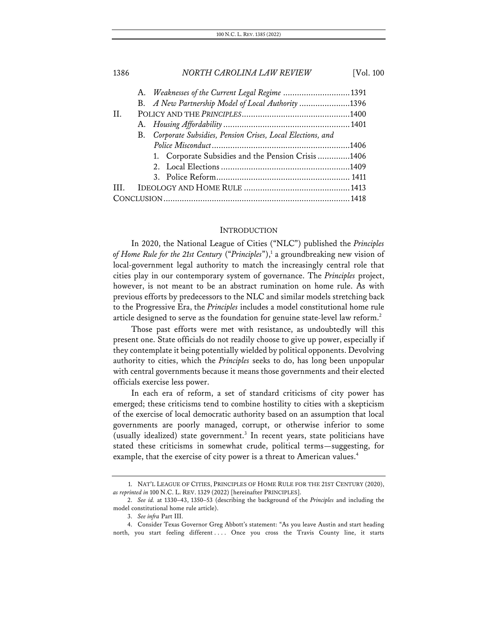# 1386 *NORTH CAROLINA LAW REVIEW* [Vol. 100 A. *Weaknesses of the Current Legal Regime* .............................1391 B. *A New Partnership Model of Local Authority*......................1396 II. POLICY AND THE *PRINCIPLES*...............................................1400 A. *Housing Affordability*.......................................................1401 B. *Corporate Subsidies, Pension Crises, Local Elections, and Police Misconduct*............................................................1406 1. Corporate Subsidies and the Pension Crisis..............1406 2. Local Elections........................................................1409 3. Police Reform.......................................................... 1411 III. IDEOLOGY AND HOME RULE ..............................................1413

### INTRODUCTION

CONCLUSION.................................................................................1418

In 2020, the National League of Cities ("NLC") published the *Principles of Home Rule for the 21st Century* ("*Principles*"),<sup>1</sup> a groundbreaking new vision of local-government legal authority to match the increasingly central role that cities play in our contemporary system of governance. The *Principles* project, however, is not meant to be an abstract rumination on home rule. As with previous efforts by predecessors to the NLC and similar models stretching back to the Progressive Era, the *Principles* includes a model constitutional home rule article designed to serve as the foundation for genuine state-level law reform.<sup>2</sup>

Those past efforts were met with resistance, as undoubtedly will this present one. State officials do not readily choose to give up power, especially if they contemplate it being potentially wielded by political opponents. Devolving authority to cities, which the *Principles* seeks to do, has long been unpopular with central governments because it means those governments and their elected officials exercise less power.

In each era of reform, a set of standard criticisms of city power has emerged; these criticisms tend to combine hostility to cities with a skepticism of the exercise of local democratic authority based on an assumption that local governments are poorly managed, corrupt, or otherwise inferior to some (usually idealized) state government.<sup>3</sup> In recent years, state politicians have stated these criticisms in somewhat crude, political terms—suggesting, for example, that the exercise of city power is a threat to American values.<sup>4</sup>

<sup>1.</sup> NAT'L LEAGUE OF CITIES, PRINCIPLES OF HOME RULE FOR THE 21ST CENTURY (2020), *as reprinted in* 100 N.C. L. REV. 1329 (2022) [hereinafter PRINCIPLES].

<sup>2.</sup> *See id.* at 1330–43, 1350–53 (describing the background of the *Principles* and including the model constitutional home rule article).

<sup>3.</sup> *See infra* Part III.

<sup>4.</sup> Consider Texas Governor Greg Abbott's statement: "As you leave Austin and start heading north, you start feeling different .... Once you cross the Travis County line, it starts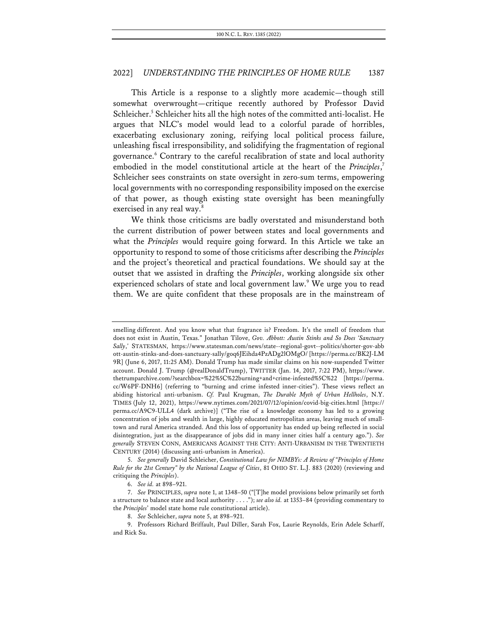This Article is a response to a slightly more academic—though still somewhat overwrought—critique recently authored by Professor David Schleicher.<sup>5</sup> Schleicher hits all the high notes of the committed anti-localist. He argues that NLC's model would lead to a colorful parade of horribles, exacerbating exclusionary zoning, reifying local political process failure, unleashing fiscal irresponsibility, and solidifying the fragmentation of regional governance.<sup>6</sup> Contrary to the careful recalibration of state and local authority embodied in the model constitutional article at the heart of the *Principles*, 7 Schleicher sees constraints on state oversight in zero-sum terms, empowering local governments with no corresponding responsibility imposed on the exercise of that power, as though existing state oversight has been meaningfully exercised in any real way.<sup>8</sup>

We think those criticisms are badly overstated and misunderstand both the current distribution of power between states and local governments and what the *Principles* would require going forward. In this Article we take an opportunity to respond to some of those criticisms after describing the *Principles* and the project's theoretical and practical foundations. We should say at the outset that we assisted in drafting the *Principles*, working alongside six other experienced scholars of state and local government law.<sup>9</sup> We urge you to read them. We are quite confident that these proposals are in the mainstream of

smelling different. And you know what that fragrance is? Freedom. It's the smell of freedom that does not exist in Austin, Texas." Jonathan Tilove, *Gov. Abbott: Austin Stinks and So Does 'Sanctuary Sally*,*'* STATESMAN, https://www.statesman.com/news/state--regional-govt--politics/shorter-gov-abb ott-austin-stinks-and-does-sanctuary-sally/goq6JEihda4PzADg2lOMgO/ [https://perma.cc/BK2J-LM 9R] (June 6, 2017, 11:25 AM). Donald Trump has made similar claims on his now-suspended Twitter account. Donald J. Trump (@realDonaldTrump), TWITTER (Jan. 14, 2017, 7:22 PM), https://www. thetrumparchive.com/?searchbox=%22%5C%22burning+and+crime-infested%5C%22 [https://perma. cc/W6PF-DNH6] (referring to "burning and crime infested inner-cities"). These views reflect an abiding historical anti-urbanism. *Cf.* Paul Krugman, *The Durable Myth of Urban Hellholes*, N.Y. TIMES (July 12, 2021), https://www.nytimes.com/2021/07/12/opinion/covid-big-cities.html [https:// perma.cc/A9C9-ULL4 (dark archive)] ("The rise of a knowledge economy has led to a growing concentration of jobs and wealth in large, highly educated metropolitan areas, leaving much of smalltown and rural America stranded. And this loss of opportunity has ended up being reflected in social disintegration, just as the disappearance of jobs did in many inner cities half a century ago."). *See generally* STEVEN CONN, AMERICANS AGAINST THE CITY: ANTI-URBANISM IN THE TWENTIETH CENTURY (2014) (discussing anti-urbanism in America).

<sup>5.</sup> *See generally* David Schleicher, *Constitutional Law for NIMBYs: A Review of "Principles of Home Rule for the 21st Century" by the National League of Cities*, 81 OHIO ST. L.J. 883 (2020) (reviewing and critiquing the *Principles*).

<sup>6.</sup> *See id.* at 898–921.

<sup>7.</sup> *See* PRINCIPLES, *supra* note 1, at 1348–50 ("[T]he model provisions below primarily set forth a structure to balance state and local authority . . . ."); *see also id.* at 1353–84 (providing commentary to the *Principles*' model state home rule constitutional article).

<sup>8.</sup> *See* Schleicher, *supra* note 5, at 898–921.

<sup>9.</sup> Professors Richard Briffault, Paul Diller, Sarah Fox, Laurie Reynolds, Erin Adele Scharff, and Rick Su.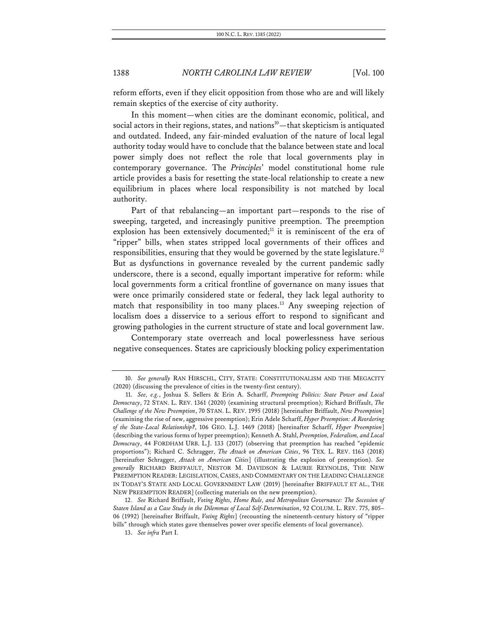reform efforts, even if they elicit opposition from those who are and will likely remain skeptics of the exercise of city authority.

In this moment—when cities are the dominant economic, political, and social actors in their regions, states, and nations $10$ —that skepticism is antiquated and outdated. Indeed, any fair-minded evaluation of the nature of local legal authority today would have to conclude that the balance between state and local power simply does not reflect the role that local governments play in contemporary governance. The *Principles*' model constitutional home rule article provides a basis for resetting the state-local relationship to create a new equilibrium in places where local responsibility is not matched by local authority.

Part of that rebalancing—an important part—responds to the rise of sweeping, targeted, and increasingly punitive preemption. The preemption explosion has been extensively documented; $11$  it is reminiscent of the era of "ripper" bills, when states stripped local governments of their offices and responsibilities, ensuring that they would be governed by the state legislature.<sup>12</sup> But as dysfunctions in governance revealed by the current pandemic sadly underscore, there is a second, equally important imperative for reform: while local governments form a critical frontline of governance on many issues that were once primarily considered state or federal, they lack legal authority to match that responsibility in too many places.<sup>13</sup> Any sweeping rejection of localism does a disservice to a serious effort to respond to significant and growing pathologies in the current structure of state and local government law.

Contemporary state overreach and local powerlessness have serious negative consequences. States are capriciously blocking policy experimentation

<sup>10.</sup> *See generally* RAN HIRSCHL, CITY, STATE: CONSTITUTIONALISM AND THE MEGACITY (2020) (discussing the prevalence of cities in the twenty-first century).

<sup>11.</sup> *See, e.g.*, Joshua S. Sellers & Erin A. Scharff, *Preempting Politics: State Power and Local Democracy*, 72 STAN. L. REV. 1361 (2020) (examining structural preemption); Richard Briffault, *The Challenge of the New Preemption*, 70 STAN. L. REV. 1995 (2018) [hereinafter Briffault, *New Preemption*] (examining the rise of new, aggressive preemption); Erin Adele Scharff, *Hyper Preemption: A Reordering of the State-Local Relationship?*, 106 GEO. L.J. 1469 (2018) [hereinafter Scharff, *Hyper Preemption*] (describing the various forms of hyper preemption); Kenneth A. Stahl, *Preemption, Federalism, and Local Democracy*, 44 FORDHAM URB. L.J. 133 (2017) (observing that preemption has reached "epidemic proportions"); Richard C. Schragger, *The Attack on American Cities*, 96 TEX. L. REV. 1163 (2018) [hereinafter Schragger, *Attack on American Cities*] (illustrating the explosion of preemption). *See generally* RICHARD BRIFFAULT, NESTOR M. DAVIDSON & LAURIE REYNOLDS, THE NEW PREEMPTION READER: LEGISLATION, CASES, AND COMMENTARY ON THE LEADING CHALLENGE IN TODAY'S STATE AND LOCAL GOVERNMENT LAW (2019) [hereinafter BRIFFAULT ET AL., THE NEW PREEMPTION READER] (collecting materials on the new preemption).

<sup>12.</sup> *See* Richard Briffault, *Voting Rights, Home Rule, and Metropolitan Governance: The Secession of Staten Island as a Case Study in the Dilemmas of Local Self-Determination*, 92 COLUM. L. REV. 775, 805– 06 (1992) [hereinafter Briffault, *Voting Rights*] (recounting the nineteenth-century history of "ripper bills" through which states gave themselves power over specific elements of local governance).

<sup>13.</sup> *See infra* Part I.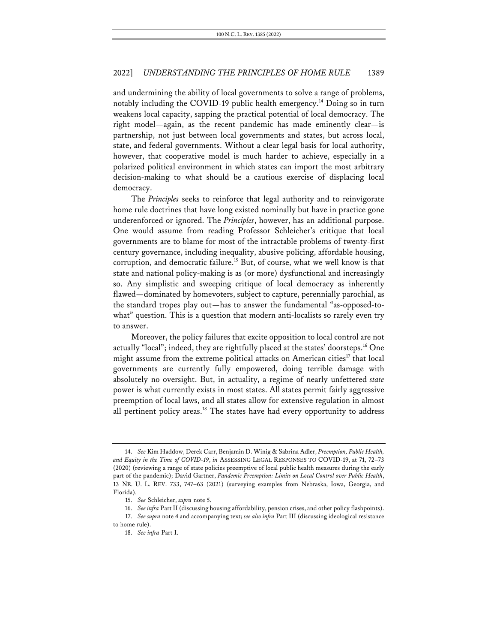and undermining the ability of local governments to solve a range of problems, notably including the COVID-19 public health emergency.<sup>14</sup> Doing so in turn weakens local capacity, sapping the practical potential of local democracy. The right model—again, as the recent pandemic has made eminently clear—is partnership, not just between local governments and states, but across local, state, and federal governments. Without a clear legal basis for local authority, however, that cooperative model is much harder to achieve, especially in a polarized political environment in which states can import the most arbitrary decision-making to what should be a cautious exercise of displacing local democracy.

The *Principles* seeks to reinforce that legal authority and to reinvigorate home rule doctrines that have long existed nominally but have in practice gone underenforced or ignored. The *Principles*, however, has an additional purpose. One would assume from reading Professor Schleicher's critique that local governments are to blame for most of the intractable problems of twenty-first century governance, including inequality, abusive policing, affordable housing, corruption, and democratic failure.15 But, of course, what we well know is that state and national policy-making is as (or more) dysfunctional and increasingly so. Any simplistic and sweeping critique of local democracy as inherently flawed—dominated by homevoters, subject to capture, perennially parochial, as the standard tropes play out—has to answer the fundamental "as-opposed-towhat" question. This is a question that modern anti-localists so rarely even try to answer.

Moreover, the policy failures that excite opposition to local control are not actually "local"; indeed, they are rightfully placed at the states' doorsteps.16 One might assume from the extreme political attacks on American cities<sup>17</sup> that local governments are currently fully empowered, doing terrible damage with absolutely no oversight. But, in actuality, a regime of nearly unfettered *state* power is what currently exists in most states. All states permit fairly aggressive preemption of local laws, and all states allow for extensive regulation in almost all pertinent policy areas.<sup>18</sup> The states have had every opportunity to address

<sup>14.</sup> *See* Kim Haddow, Derek Carr, Benjamin D. Winig & Sabrina Adler, *Preemption, Public Health, and Equity in the Time of COVID-19*, *in* ASSESSING LEGAL RESPONSES TO COVID-19, at 71, 72–73 (2020) (reviewing a range of state policies preemptive of local public health measures during the early part of the pandemic); David Gartner, *Pandemic Preemption: Limits on Local Control over Public Health*, 13 NE. U. L. REV. 733, 747–63 (2021) (surveying examples from Nebraska, Iowa, Georgia, and Florida).

<sup>15.</sup> *See* Schleicher, *supra* note 5.

<sup>16.</sup> *See infra* Part II (discussing housing affordability, pension crises, and other policy flashpoints).

<sup>17.</sup> *See supra* note 4 and accompanying text; *see also infra* Part III (discussing ideological resistance to home rule).

<sup>18.</sup> *See infra* Part I.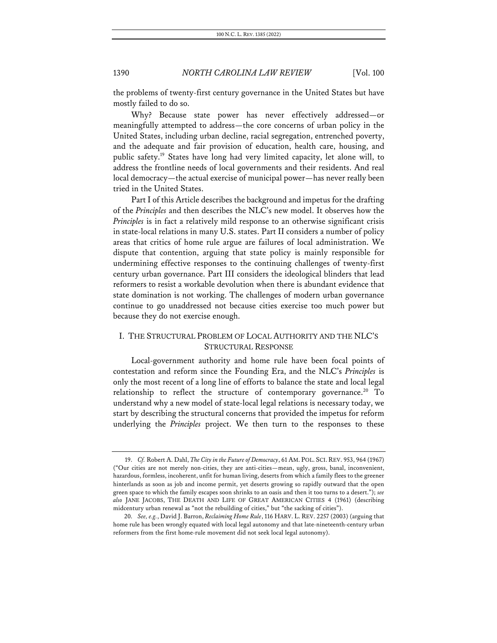the problems of twenty-first century governance in the United States but have mostly failed to do so.

Why? Because state power has never effectively addressed—or meaningfully attempted to address—the core concerns of urban policy in the United States, including urban decline, racial segregation, entrenched poverty, and the adequate and fair provision of education, health care, housing, and public safety. <sup>19</sup> States have long had very limited capacity, let alone will, to address the frontline needs of local governments and their residents. And real local democracy—the actual exercise of municipal power—has never really been tried in the United States.

Part I of this Article describes the background and impetus for the drafting of the *Principles* and then describes the NLC's new model. It observes how the *Principles* is in fact a relatively mild response to an otherwise significant crisis in state-local relations in many U.S. states. Part II considers a number of policy areas that critics of home rule argue are failures of local administration. We dispute that contention, arguing that state policy is mainly responsible for undermining effective responses to the continuing challenges of twenty-first century urban governance. Part III considers the ideological blinders that lead reformers to resist a workable devolution when there is abundant evidence that state domination is not working. The challenges of modern urban governance continue to go unaddressed not because cities exercise too much power but because they do not exercise enough.

# I. THE STRUCTURAL PROBLEM OF LOCAL AUTHORITY AND THE NLC'S STRUCTURAL RESPONSE

Local-government authority and home rule have been focal points of contestation and reform since the Founding Era, and the NLC's *Principles* is only the most recent of a long line of efforts to balance the state and local legal relationship to reflect the structure of contemporary governance.<sup>20</sup> To understand why a new model of state-local legal relations is necessary today, we start by describing the structural concerns that provided the impetus for reform underlying the *Principles* project. We then turn to the responses to these

<sup>19.</sup> *Cf.* Robert A. Dahl, *The City in the Future of Democracy*, 61 AM. POL. SCI. REV. 953, 964 (1967) ("Our cities are not merely non-cities, they are anti-cities—mean, ugly, gross, banal, inconvenient, hazardous, formless, incoherent, unfit for human living, deserts from which a family flees to the greener hinterlands as soon as job and income permit, yet deserts growing so rapidly outward that the open green space to which the family escapes soon shrinks to an oasis and then it too turns to a desert."); *see also* JANE JACOBS, THE DEATH AND LIFE OF GREAT AMERICAN CITIES 4 (1961) (describing midcentury urban renewal as "not the rebuilding of cities," but "the sacking of cities").

<sup>20.</sup> *See, e.g.*, David J. Barron, *Reclaiming Home Rule*, 116 HARV. L. REV. 2257 (2003) (arguing that home rule has been wrongly equated with local legal autonomy and that late-nineteenth-century urban reformers from the first home-rule movement did not seek local legal autonomy).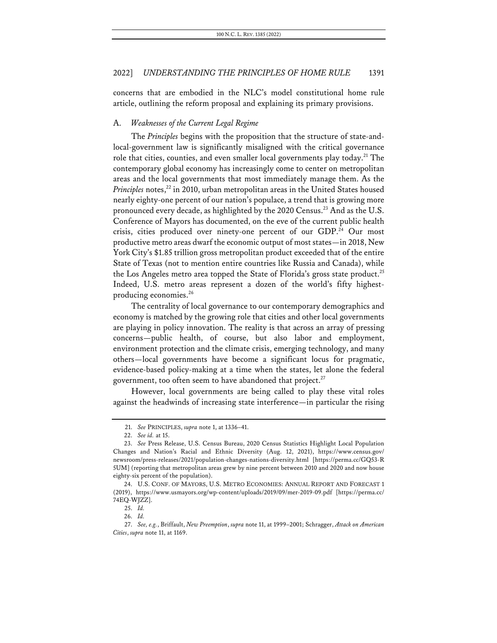concerns that are embodied in the NLC's model constitutional home rule article, outlining the reform proposal and explaining its primary provisions.

### A. *Weaknesses of the Current Legal Regime*

The *Principles* begins with the proposition that the structure of state-andlocal-government law is significantly misaligned with the critical governance role that cities, counties, and even smaller local governments play today.<sup>21</sup> The contemporary global economy has increasingly come to center on metropolitan areas and the local governments that most immediately manage them. As the *Principles* notes,<sup>22</sup> in 2010, urban metropolitan areas in the United States housed nearly eighty-one percent of our nation's populace, a trend that is growing more pronounced every decade, as highlighted by the 2020 Census.<sup>23</sup> And as the U.S. Conference of Mayors has documented, on the eve of the current public health crisis, cities produced over ninety-one percent of our GDP.<sup>24</sup> Our most productive metro areas dwarf the economic output of most states—in 2018, New York City's \$1.85 trillion gross metropolitan product exceeded that of the entire State of Texas (not to mention entire countries like Russia and Canada), while the Los Angeles metro area topped the State of Florida's gross state product.<sup>25</sup> Indeed, U.S. metro areas represent a dozen of the world's fifty highestproducing economies.26

The centrality of local governance to our contemporary demographics and economy is matched by the growing role that cities and other local governments are playing in policy innovation. The reality is that across an array of pressing concerns—public health, of course, but also labor and employment, environment protection and the climate crisis, emerging technology, and many others—local governments have become a significant locus for pragmatic, evidence-based policy-making at a time when the states, let alone the federal government, too often seem to have abandoned that project.<sup>27</sup>

However, local governments are being called to play these vital roles against the headwinds of increasing state interference—in particular the rising

<sup>21.</sup> *See* PRINCIPLES, *supra* note 1, at 1336–41.

<sup>22.</sup> *See id.* at 15.

<sup>23.</sup> *See* Press Release, U.S. Census Bureau, 2020 Census Statistics Highlight Local Population Changes and Nation's Racial and Ethnic Diversity (Aug. 12, 2021), https://www.census.gov/ newsroom/press-releases/2021/population-changes-nations-diversity.html [https://perma.cc/GQ53-R 5UM] (reporting that metropolitan areas grew by nine percent between 2010 and 2020 and now house eighty-six percent of the population).

<sup>24.</sup> U.S. CONF. OF MAYORS, U.S. METRO ECONOMIES: ANNUAL REPORT AND FORECAST 1 (2019), https://www.usmayors.org/wp-content/uploads/2019/09/mer-2019-09.pdf [https://perma.cc/ 74EQ-WJZZ].

<sup>25.</sup> *Id.*

<sup>26.</sup> *Id.*

<sup>27.</sup> *See, e.g.*, Briffault, *New Preemption*, *supra* note 11, at 1999–2001; Schragger, *Attack on American Cities*, *supra* note 11, at 1169.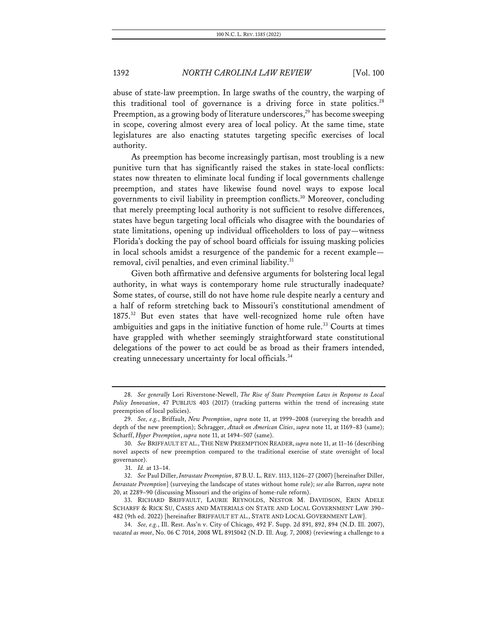abuse of state-law preemption. In large swaths of the country, the warping of this traditional tool of governance is a driving force in state politics.<sup>28</sup> Preemption, as a growing body of literature underscores, $^{29}$  has become sweeping in scope, covering almost every area of local policy. At the same time, state legislatures are also enacting statutes targeting specific exercises of local authority.

As preemption has become increasingly partisan, most troubling is a new punitive turn that has significantly raised the stakes in state-local conflicts: states now threaten to eliminate local funding if local governments challenge preemption, and states have likewise found novel ways to expose local governments to civil liability in preemption conflicts.30 Moreover, concluding that merely preempting local authority is not sufficient to resolve differences, states have begun targeting local officials who disagree with the boundaries of state limitations, opening up individual officeholders to loss of pay—witness Florida's docking the pay of school board officials for issuing masking policies in local schools amidst a resurgence of the pandemic for a recent example removal, civil penalties, and even criminal liability. $31$ 

Given both affirmative and defensive arguments for bolstering local legal authority, in what ways is contemporary home rule structurally inadequate? Some states, of course, still do not have home rule despite nearly a century and a half of reform stretching back to Missouri's constitutional amendment of 1875.<sup>32</sup> But even states that have well-recognized home rule often have ambiguities and gaps in the initiative function of home rule.<sup>33</sup> Courts at times have grappled with whether seemingly straightforward state constitutional delegations of the power to act could be as broad as their framers intended, creating unnecessary uncertainty for local officials.<sup>34</sup>

<sup>28.</sup> *See generally* Lori Riverstone-Newell, *The Rise of State Preemption Laws in Response to Local Policy Innovation*, 47 PUBLIUS 403 (2017) (tracking patterns within the trend of increasing state preemption of local policies).

<sup>29.</sup> *See, e.g.*, Briffault, *New Preemption*, *supra* note 11, at 1999–2008 (surveying the breadth and depth of the new preemption); Schragger, *Attack on American Cities*, *supra* note 11, at 1169–83 (same); Scharff, *Hyper Preemption*, *supra* note 11, at 1494–507 (same).

<sup>30.</sup> *See* BRIFFAULT ET AL., THE NEW PREEMPTION READER, *supra* note 11, at 11–16 (describing novel aspects of new preemption compared to the traditional exercise of state oversight of local governance).

<sup>31.</sup> *Id.* at 13–14.

<sup>32.</sup> *See* Paul Diller, *Intrastate Preemption*, 87 B.U. L. REV. 1113, 1126–27 (2007) [hereinafter Diller, *Intrastate Preemption*] (surveying the landscape of states without home rule); *see also* Barron, *supra* note 20, at 2289–90 (discussing Missouri and the origins of home-rule reform).

<sup>33.</sup> RICHARD BRIFFAULT, LAURIE REYNOLDS, NESTOR M. DAVIDSON, ERIN ADELE SCHARFF & RICK SU, CASES AND MATERIALS ON STATE AND LOCAL GOVERNMENT LAW 390– 482 (9th ed. 2022) [hereinafter BRIFFAULT ET AL., STATE AND LOCAL GOVERNMENT LAW].

<sup>34.</sup> *See, e.g.*, Ill. Rest. Ass'n v. City of Chicago, 492 F. Supp. 2d 891, 892, 894 (N.D. Ill. 2007), *vacated as moot*, No. 06 C 7014, 2008 WL 8915042 (N.D. Ill. Aug. 7, 2008) (reviewing a challenge to a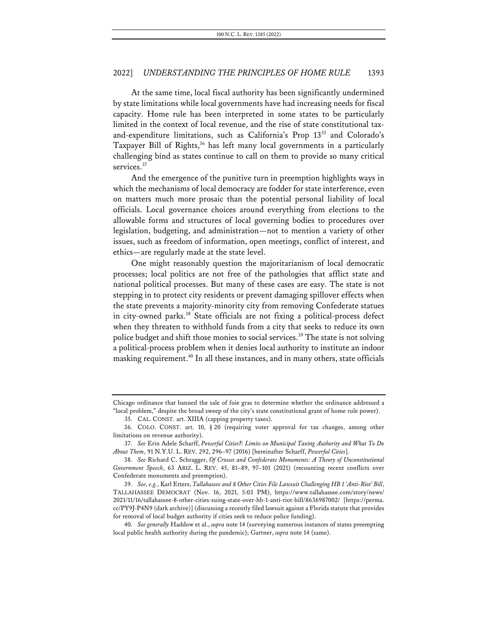At the same time, local fiscal authority has been significantly undermined by state limitations while local governments have had increasing needs for fiscal capacity. Home rule has been interpreted in some states to be particularly limited in the context of local revenue, and the rise of state constitutional taxand-expenditure limitations, such as California's Prop 13<sup>35</sup> and Colorado's Taxpayer Bill of Rights, <sup>36</sup> has left many local governments in a particularly challenging bind as states continue to call on them to provide so many critical services.<sup>37</sup>

And the emergence of the punitive turn in preemption highlights ways in which the mechanisms of local democracy are fodder for state interference, even on matters much more prosaic than the potential personal liability of local officials. Local governance choices around everything from elections to the allowable forms and structures of local governing bodies to procedures over legislation, budgeting, and administration—not to mention a variety of other issues, such as freedom of information, open meetings, conflict of interest, and ethics—are regularly made at the state level.

One might reasonably question the majoritarianism of local democratic processes; local politics are not free of the pathologies that afflict state and national political processes. But many of these cases are easy. The state is not stepping in to protect city residents or prevent damaging spillover effects when the state prevents a majority-minority city from removing Confederate statues in city-owned parks.<sup>38</sup> State officials are not fixing a political-process defect when they threaten to withhold funds from a city that seeks to reduce its own police budget and shift those monies to social services.<sup>39</sup> The state is not solving a political-process problem when it denies local authority to institute an indoor masking requirement.40 In all these instances, and in many others, state officials

Chicago ordinance that banned the sale of foie gras to determine whether the ordinance addressed a "local problem," despite the broad sweep of the city's state constitutional grant of home rule power).

<sup>35.</sup> CAL. CONST. art. XIIIA (capping property taxes).

<sup>36.</sup> COLO. CONST. art. 10, § 20 (requiring voter approval for tax changes, among other limitations on revenue authority).

<sup>37.</sup> *See* Erin Adele Scharff, *Powerful Cities?: Limits on Municipal Taxing Authority and What To Do About Them*, 91 N.Y.U. L. REV. 292, 296–97 (2016) [hereinafter Scharff, *Powerful Cities*].

<sup>38.</sup> *See* Richard C. Schragger, *Of Crosses and Confederate Monuments: A Theory of Unconstitutional Government Speech*, 63 ARIZ. L. REV. 45, 81–89, 97–101 (2021) (recounting recent conflicts over Confederate monuments and preemption).

<sup>39.</sup> *See, e.g.*, Karl Etters, *Tallahassee and 8 Other Cities File Lawsuit Challenging HB 1 'Anti-Riot' Bill*, TALLAHASSEE DEMOCRAT (Nov. 16, 2021, 5:03 PM), https://www.tallahassee.com/story/news/ 2021/11/16/tallahassee-8-other-cities-suing-state-over-hb-1-anti-riot-bill/8636987002/ [https://perma. cc/PY9J-P4N9 (dark archive)] (discussing a recently filed lawsuit against a Florida statute that provides for removal of local budget authority if cities seek to reduce police funding).

<sup>40.</sup> *See generally* Haddow et al., *supra* note 14 (surveying numerous instances of states preempting local public health authority during the pandemic); Gartner, *supra* note 14 (same).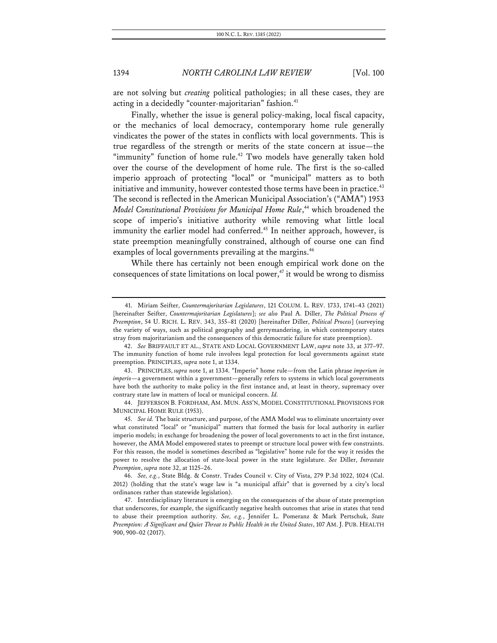are not solving but *creating* political pathologies; in all these cases, they are acting in a decidedly "counter-majoritarian" fashion.<sup>41</sup>

Finally, whether the issue is general policy-making, local fiscal capacity, or the mechanics of local democracy, contemporary home rule generally vindicates the power of the states in conflicts with local governments. This is true regardless of the strength or merits of the state concern at issue—the "immunity" function of home rule.<sup>42</sup> Two models have generally taken hold over the course of the development of home rule. The first is the so-called imperio approach of protecting "local" or "municipal" matters as to both initiative and immunity, however contested those terms have been in practice.<sup>43</sup> The second is reflected in the American Municipal Association's ("AMA") 1953 *Model Constitutional Provisions for Municipal Home Rule*, <sup>44</sup> which broadened the scope of imperio's initiative authority while removing what little local immunity the earlier model had conferred.<sup>45</sup> In neither approach, however, is state preemption meaningfully constrained, although of course one can find examples of local governments prevailing at the margins.<sup>46</sup>

While there has certainly not been enough empirical work done on the consequences of state limitations on local power, $47$  it would be wrong to dismiss

<sup>41.</sup> Miriam Seifter, *Countermajoritarian Legislatures*, 121 COLUM. L. REV. 1733, 1741–43 (2021) [hereinafter Seifter, *Countermajoritarian Legislatures*]; *see also* Paul A. Diller, *The Political Process of Preemption*, 54 U. RICH. L. REV. 343, 355–81 (2020) [hereinafter Diller, *Political Process*] (surveying the variety of ways, such as political geography and gerrymandering, in which contemporary states stray from majoritarianism and the consequences of this democratic failure for state preemption).

<sup>42.</sup> *See* BRIFFAULT ET AL., STATE AND LOCAL GOVERNMENT LAW, *supra* note 33, at 377–97. The immunity function of home rule involves legal protection for local governments against state preemption. PRINCIPLES, *supra* note 1, at 1334.

<sup>43.</sup> PRINCIPLES, *supra* note 1, at 1334. "Imperio" home rule—from the Latin phrase *imperium in imperio*—a government within a government—generally refers to systems in which local governments have both the authority to make policy in the first instance and, at least in theory, supremacy over contrary state law in matters of local or municipal concern. *Id.*

<sup>44.</sup> JEFFERSON B. FORDHAM, AM. MUN. ASS'N, MODEL CONSTITUTIONAL PROVISIONS FOR MUNICIPAL HOME RULE (1953).

<sup>45.</sup> *See id.* The basic structure, and purpose, of the AMA Model was to eliminate uncertainty over what constituted "local" or "municipal" matters that formed the basis for local authority in earlier imperio models; in exchange for broadening the power of local governments to act in the first instance, however, the AMA Model empowered states to preempt or structure local power with few constraints. For this reason, the model is sometimes described as "legislative" home rule for the way it resides the power to resolve the allocation of state-local power in the state legislature. *See* Diller, *Intrastate Preemption*, *supra* note 32, at 1125–26.

<sup>46.</sup> *See, e.g.*, State Bldg. & Constr. Trades Council v. City of Vista, 279 P.3d 1022, 1024 (Cal. 2012) (holding that the state's wage law is "a municipal affair" that is governed by a city's local ordinances rather than statewide legislation).

<sup>47.</sup> Interdisciplinary literature is emerging on the consequences of the abuse of state preemption that underscores, for example, the significantly negative health outcomes that arise in states that tend to abuse their preemption authority. *See, e.g.*, Jennifer L. Pomeranz & Mark Pertschuk, *State Preemption: A Significant and Quiet Threat to Public Health in the United States*, 107 AM. J. PUB. HEALTH 900, 900–02 (2017).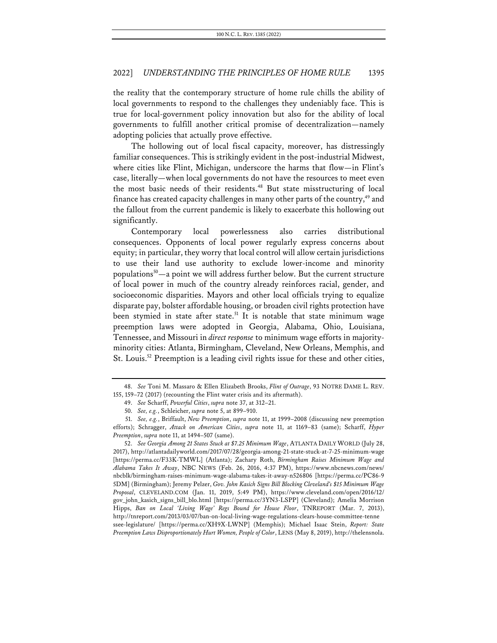the reality that the contemporary structure of home rule chills the ability of local governments to respond to the challenges they undeniably face. This is true for local-government policy innovation but also for the ability of local governments to fulfill another critical promise of decentralization—namely adopting policies that actually prove effective.

The hollowing out of local fiscal capacity, moreover, has distressingly familiar consequences. This is strikingly evident in the post-industrial Midwest, where cities like Flint, Michigan, underscore the harms that flow—in Flint's case, literally—when local governments do not have the resources to meet even the most basic needs of their residents.<sup>48</sup> But state misstructuring of local finance has created capacity challenges in many other parts of the country,<sup>49</sup> and the fallout from the current pandemic is likely to exacerbate this hollowing out significantly.

Contemporary local powerlessness also carries distributional consequences. Opponents of local power regularly express concerns about equity; in particular, they worry that local control will allow certain jurisdictions to use their land use authority to exclude lower-income and minority populations<sup>50</sup>—a point we will address further below. But the current structure of local power in much of the country already reinforces racial, gender, and socioeconomic disparities. Mayors and other local officials trying to equalize disparate pay, bolster affordable housing, or broaden civil rights protection have been stymied in state after state.<sup>51</sup> It is notable that state minimum wage preemption laws were adopted in Georgia, Alabama, Ohio, Louisiana, Tennessee, and Missouri in *direct response* to minimum wage efforts in majorityminority cities: Atlanta, Birmingham, Cleveland, New Orleans, Memphis, and St. Louis.<sup>52</sup> Preemption is a leading civil rights issue for these and other cities,

<sup>48.</sup> *See* Toni M. Massaro & Ellen Elizabeth Brooks, *Flint of Outrage*, 93 NOTRE DAME L. REV. 155, 159–72 (2017) (recounting the Flint water crisis and its aftermath).

<sup>49.</sup> *See* Scharff, *Powerful Cities*, *supra* note 37, at 312–21.

<sup>50.</sup> *See, e.g.*, Schleicher, *supra* note 5, at 899–910.

<sup>51.</sup> *See, e.g.*, Briffault, *New Preemption*, *supra* note 11, at 1999–2008 (discussing new preemption efforts); Schragger, *Attack on American Cities*, *supra* note 11, at 1169–83 (same); Scharff, *Hyper Preemption*, *supra* note 11, at 1494–507 (same).

<sup>52.</sup> *See Georgia Among 21 States Stuck at \$7.25 Minimum Wage*, ATLANTA DAILY WORLD (July 28, 2017), http://atlantadailyworld.com/2017/07/28/georgia-among-21-state-stuck-at-7-25-minimum-wage [https://perma.cc/F33K-TMWL] (Atlanta); Zachary Roth, *Birmingham Raises Minimum Wage and Alabama Takes It Away*, NBC NEWS (Feb. 26, 2016, 4:37 PM), https://www.nbcnews.com/news/ nbcblk/birmingham-raises-minimum-wage-alabama-takes-it-away-n526806 [https://perma.cc/PC86-9 5DM] (Birmingham); Jeremy Pelzer, *Gov. John Kasich Signs Bill Blocking Cleveland's \$15 Minimum Wage Proposal*, CLEVELAND.COM (Jan. 11, 2019, 5:49 PM), https://www.cleveland.com/open/2016/12/ gov\_john\_kasich\_signs\_bill\_blo.html [https://perma.cc/3YN3-LSPP] (Cleveland); Amelia Morrison Hipps, *Ban on Local 'Living Wage' Regs Bound for House Floor*, TNREPORT (Mar. 7, 2013), http://tnreport.com/2013/03/07/ban-on-local-living-wage-regulations-clears-house-committee-tenne ssee-legislature/ [https://perma.cc/XH9X-LWNP] (Memphis); Michael Isaac Stein, *Report: State Preemption Laws Disproportionately Hurt Women, People of Color*, LENS (May 8, 2019), http://thelensnola.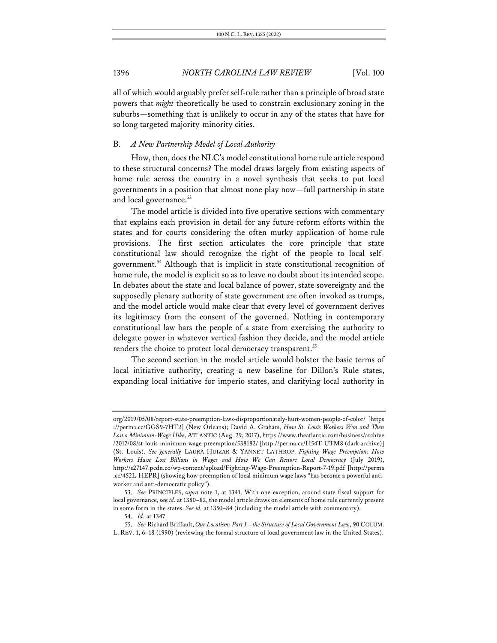all of which would arguably prefer self-rule rather than a principle of broad state powers that *might* theoretically be used to constrain exclusionary zoning in the suburbs—something that is unlikely to occur in any of the states that have for so long targeted majority-minority cities.

## B. *A New Partnership Model of Local Authority*

How, then, does the NLC's model constitutional home rule article respond to these structural concerns? The model draws largely from existing aspects of home rule across the country in a novel synthesis that seeks to put local governments in a position that almost none play now—full partnership in state and local governance.<sup>53</sup>

The model article is divided into five operative sections with commentary that explains each provision in detail for any future reform efforts within the states and for courts considering the often murky application of home-rule provisions. The first section articulates the core principle that state constitutional law should recognize the right of the people to local selfgovernment.54 Although that is implicit in state constitutional recognition of home rule, the model is explicit so as to leave no doubt about its intended scope. In debates about the state and local balance of power, state sovereignty and the supposedly plenary authority of state government are often invoked as trumps, and the model article would make clear that every level of government derives its legitimacy from the consent of the governed. Nothing in contemporary constitutional law bars the people of a state from exercising the authority to delegate power in whatever vertical fashion they decide, and the model article renders the choice to protect local democracy transparent.<sup>55</sup>

The second section in the model article would bolster the basic terms of local initiative authority, creating a new baseline for Dillon's Rule states, expanding local initiative for imperio states, and clarifying local authority in

org/2019/05/08/report-state-preemption-laws-disproportionately-hurt-women-people-of-color/ [https ://perma.cc/GGS9-7HT2] (New Orleans); David A. Graham, *How St. Louis Workers Won and Then Lost a Minimum-Wage Hike*, ATLANTIC (Aug. 29, 2017), https://www.theatlantic.com/business/archive /2017/08/st-louis-minimum-wage-preemption/538182/ [http://perma.cc/H54T-UTM8 (dark archive)] (St. Louis). *See generally* LAURA HUIZAR & YANNET LATHROP, *Fighting Wage Preemption: How Workers Have Lost Billions in Wages and How We Can Restore Local Democracy* (July 2019), http://s27147.pcdn.co/wp-content/upload/Fighting-Wage-Preemption-Report-7-19.pdf [http://perma .cc/452L-HEPR] (showing how preemption of local minimum wage laws "has become a powerful antiworker and anti-democratic policy").

<sup>53.</sup> *See* PRINCIPLES, *supra* note 1, at 1341. With one exception, around state fiscal support for local governance, see *id.* at 1380–82, the model article draws on elements of home rule currently present in some form in the states. *See id.* at 1350–84 (including the model article with commentary).

<sup>54.</sup> *Id.* at 1347.

<sup>55.</sup> *See* Richard Briffault, *Our Localism: Part I—the Structure of Local Government Law*, 90 COLUM. L. REV. 1, 6–18 (1990) (reviewing the formal structure of local government law in the United States).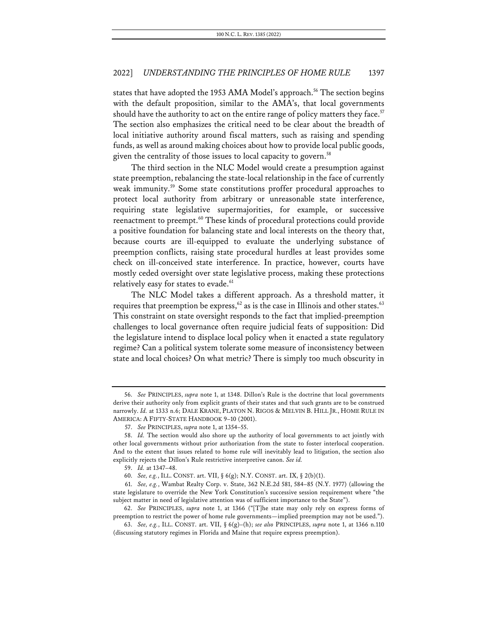states that have adopted the 1953 AMA Model's approach.<sup>56</sup> The section begins with the default proposition, similar to the AMA's, that local governments should have the authority to act on the entire range of policy matters they face. $57$ The section also emphasizes the critical need to be clear about the breadth of local initiative authority around fiscal matters, such as raising and spending funds, as well as around making choices about how to provide local public goods, given the centrality of those issues to local capacity to govern.<sup>58</sup>

The third section in the NLC Model would create a presumption against state preemption, rebalancing the state-local relationship in the face of currently weak immunity.<sup>59</sup> Some state constitutions proffer procedural approaches to protect local authority from arbitrary or unreasonable state interference, requiring state legislative supermajorities, for example, or successive reenactment to preempt.<sup>60</sup> These kinds of procedural protections could provide a positive foundation for balancing state and local interests on the theory that, because courts are ill-equipped to evaluate the underlying substance of preemption conflicts, raising state procedural hurdles at least provides some check on ill-conceived state interference. In practice, however, courts have mostly ceded oversight over state legislative process, making these protections relatively easy for states to evade.<sup>61</sup>

The NLC Model takes a different approach. As a threshold matter, it requires that preemption be express,<sup>62</sup> as is the case in Illinois and other states.<sup>63</sup> This constraint on state oversight responds to the fact that implied-preemption challenges to local governance often require judicial feats of supposition: Did the legislature intend to displace local policy when it enacted a state regulatory regime? Can a political system tolerate some measure of inconsistency between state and local choices? On what metric? There is simply too much obscurity in

<sup>56.</sup> *See* PRINCIPLES, *supra* note 1, at 1348. Dillon's Rule is the doctrine that local governments derive their authority only from explicit grants of their states and that such grants are to be construed narrowly. *Id.* at 1333 n.6; DALE KRANE, PLATON N. RIGOS & MELVIN B. HILL JR., HOME RULE IN AMERICA: A FIFTY-STATE HANDBOOK 9–10 (2001).

<sup>57.</sup> *See* PRINCIPLES, *supra* note 1, at 1354–55.

<sup>58.</sup> *Id.* The section would also shore up the authority of local governments to act jointly with other local governments without prior authorization from the state to foster interlocal cooperation. And to the extent that issues related to home rule will inevitably lead to litigation, the section also explicitly rejects the Dillon's Rule restrictive interpretive canon. *See id.* 

<sup>59.</sup> *Id.* at 1347–48.

<sup>60.</sup> *See, e.g.*, ILL. CONST. art. VII, § 6(g); N.Y. CONST. art. IX, § 2(b)(1).

<sup>61.</sup> *See, e.g.*, Wambat Realty Corp. v. State, 362 N.E.2d 581, 584–85 (N.Y. 1977) (allowing the state legislature to override the New York Constitution's successive session requirement where "the subject matter in need of legislative attention was of sufficient importance to the State").

<sup>62.</sup> *See* PRINCIPLES, *supra* note 1, at 1366 ("[T]he state may only rely on express forms of preemption to restrict the power of home rule governments—implied preemption may not be used.").

<sup>63.</sup> *See, e.g.*, ILL. CONST. art. VII, § 6(g)–(h); *see also* PRINCIPLES, *supra* note 1, at 1366 n.110 (discussing statutory regimes in Florida and Maine that require express preemption).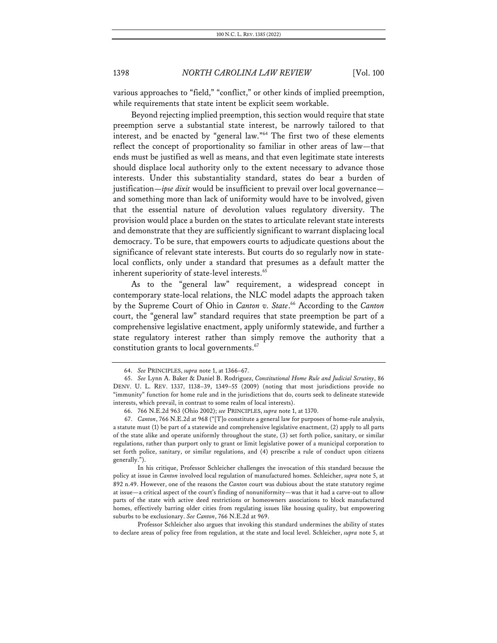various approaches to "field," "conflict," or other kinds of implied preemption, while requirements that state intent be explicit seem workable.

Beyond rejecting implied preemption, this section would require that state preemption serve a substantial state interest, be narrowly tailored to that interest, and be enacted by "general law."64 The first two of these elements reflect the concept of proportionality so familiar in other areas of law—that ends must be justified as well as means, and that even legitimate state interests should displace local authority only to the extent necessary to advance those interests. Under this substantiality standard, states do bear a burden of justification—*ipse dixit* would be insufficient to prevail over local governance and something more than lack of uniformity would have to be involved, given that the essential nature of devolution values regulatory diversity. The provision would place a burden on the states to articulate relevant state interests and demonstrate that they are sufficiently significant to warrant displacing local democracy. To be sure, that empowers courts to adjudicate questions about the significance of relevant state interests. But courts do so regularly now in statelocal conflicts, only under a standard that presumes as a default matter the inherent superiority of state-level interests.<sup>65</sup>

As to the "general law" requirement, a widespread concept in contemporary state-local relations, the NLC model adapts the approach taken by the Supreme Court of Ohio in *Canton v. State*. <sup>66</sup> According to the *Canton*  court, the "general law" standard requires that state preemption be part of a comprehensive legislative enactment, apply uniformly statewide, and further a state regulatory interest rather than simply remove the authority that a constitution grants to local governments.<sup>67</sup>

Professor Schleicher also argues that invoking this standard undermines the ability of states to declare areas of policy free from regulation, at the state and local level. Schleicher, *supra* note 5, at

<sup>64.</sup> *See* PRINCIPLES, *supra* note 1, at 1366–67.

<sup>65.</sup> *See* Lynn A. Baker & Daniel B. Rodriguez, *Constitutional Home Rule and Judicial Scrutiny*, 86 DENV. U. L. REV. 1337, 1138–39, 1349–55 (2009) (noting that most jurisdictions provide no "immunity" function for home rule and in the jurisdictions that do, courts seek to delineate statewide interests, which prevail, in contrast to some realm of local interests).

<sup>66.</sup> 766 N.E.2d 963 (Ohio 2002); *see* PRINCIPLES, *supra* note 1, at 1370.

<sup>67.</sup> *Canton*, 766 N.E.2d at 968 ("[T]o constitute a general law for purposes of home-rule analysis, a statute must (1) be part of a statewide and comprehensive legislative enactment, (2) apply to all parts of the state alike and operate uniformly throughout the state, (3) set forth police, sanitary, or similar regulations, rather than purport only to grant or limit legislative power of a municipal corporation to set forth police, sanitary, or similar regulations, and (4) prescribe a rule of conduct upon citizens generally.").

In his critique, Professor Schleicher challenges the invocation of this standard because the policy at issue in *Canton* involved local regulation of manufactured homes. Schleicher, *supra* note 5, at 892 n.49. However, one of the reasons the *Canton* court was dubious about the state statutory regime at issue—a critical aspect of the court's finding of nonuniformity—was that it had a carve-out to allow parts of the state with active deed restrictions or homeowners associations to block manufactured homes, effectively barring older cities from regulating issues like housing quality, but empowering suburbs to be exclusionary. *See Canton*, 766 N.E.2d at 969.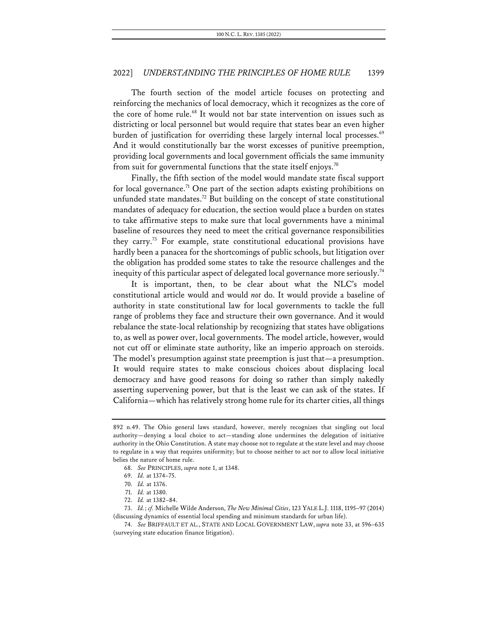The fourth section of the model article focuses on protecting and reinforcing the mechanics of local democracy, which it recognizes as the core of the core of home rule.<sup>68</sup> It would not bar state intervention on issues such as districting or local personnel but would require that states bear an even higher burden of justification for overriding these largely internal local processes.<sup>69</sup> And it would constitutionally bar the worst excesses of punitive preemption, providing local governments and local government officials the same immunity from suit for governmental functions that the state itself enjoys.<sup>70</sup>

Finally, the fifth section of the model would mandate state fiscal support for local governance.<sup>71</sup> One part of the section adapts existing prohibitions on unfunded state mandates.<sup>72</sup> But building on the concept of state constitutional mandates of adequacy for education, the section would place a burden on states to take affirmative steps to make sure that local governments have a minimal baseline of resources they need to meet the critical governance responsibilities they carry.73 For example, state constitutional educational provisions have hardly been a panacea for the shortcomings of public schools, but litigation over the obligation has prodded some states to take the resource challenges and the inequity of this particular aspect of delegated local governance more seriously.<sup>74</sup>

It is important, then, to be clear about what the NLC's model constitutional article would and would *not* do. It would provide a baseline of authority in state constitutional law for local governments to tackle the full range of problems they face and structure their own governance. And it would rebalance the state-local relationship by recognizing that states have obligations to, as well as power over, local governments. The model article, however, would not cut off or eliminate state authority, like an imperio approach on steroids. The model's presumption against state preemption is just that—a presumption. It would require states to make conscious choices about displacing local democracy and have good reasons for doing so rather than simply nakedly asserting supervening power, but that is the least we can ask of the states. If California—which has relatively strong home rule for its charter cities, all things

- 68. *See* PRINCIPLES, *supra* note 1, at 1348.
- 69. *Id.* at 1374–75.

73. *Id.*; *cf.* Michelle Wilde Anderson, *The New Minimal Cities*, 123 YALE L.J. 1118, 1195–97 (2014) (discussing dynamics of essential local spending and minimum standards for urban life).

74. *See* BRIFFAULT ET AL., STATE AND LOCAL GOVERNMENT LAW, *supra* note 33, at 596–635 (surveying state education finance litigation).

<sup>892</sup> n.49. The Ohio general laws standard, however, merely recognizes that singling out local authority—denying a local choice to act—standing alone undermines the delegation of initiative authority in the Ohio Constitution. A state may choose not to regulate at the state level and may choose to regulate in a way that requires uniformity; but to choose neither to act nor to allow local initiative belies the nature of home rule.

<sup>70.</sup> *Id.* at 1376.

<sup>71.</sup> *Id.* at 1380.

<sup>72.</sup> *Id.* at 1382–84.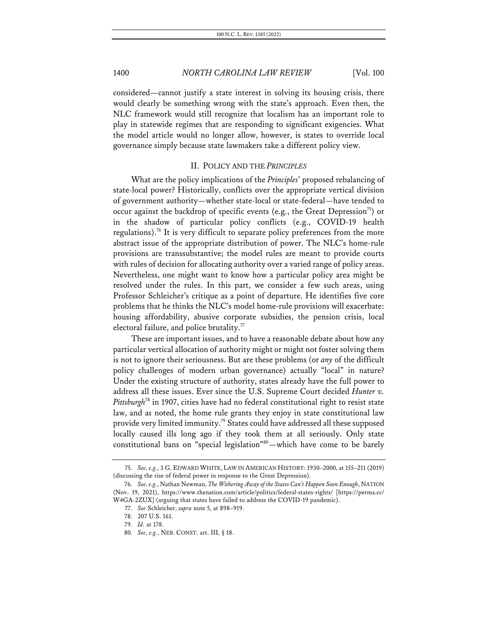considered—cannot justify a state interest in solving its housing crisis, there would clearly be something wrong with the state's approach. Even then, the NLC framework would still recognize that localism has an important role to play in statewide regimes that are responding to significant exigencies. What the model article would no longer allow, however, is states to override local governance simply because state lawmakers take a different policy view.

# II. POLICY AND THE *PRINCIPLES*

What are the policy implications of the *Principles*' proposed rebalancing of state-local power? Historically, conflicts over the appropriate vertical division of government authority—whether state-local or state-federal—have tended to occur against the backdrop of specific events (e.g., the Great Depression<sup>75</sup>) or in the shadow of particular policy conflicts (e.g., COVID-19 health regulations).76 It is very difficult to separate policy preferences from the more abstract issue of the appropriate distribution of power. The NLC's home-rule provisions are transsubstantive; the model rules are meant to provide courts with rules of decision for allocating authority over a varied range of policy areas. Nevertheless, one might want to know how a particular policy area might be resolved under the rules. In this part, we consider a few such areas, using Professor Schleicher's critique as a point of departure. He identifies five core problems that he thinks the NLC's model home-rule provisions will exacerbate: housing affordability, abusive corporate subsidies, the pension crisis, local electoral failure, and police brutality. $77$ 

These are important issues, and to have a reasonable debate about how any particular vertical allocation of authority might or might not foster solving them is not to ignore their seriousness. But are these problems (or *any* of the difficult policy challenges of modern urban governance) actually "local" in nature? Under the existing structure of authority, states already have the full power to address all these issues. Ever since the U.S. Supreme Court decided *Hunter v. Pittsburgh*<sup>78</sup> in 1907, cities have had no federal constitutional right to resist state law, and as noted, the home rule grants they enjoy in state constitutional law provide very limited immunity.79 States could have addressed all these supposed locally caused ills long ago if they took them at all seriously. Only state constitutional bans on "special legislation"80—which have come to be barely

<sup>75.</sup> *See, e.g.*, 3 G. EDWARD WHITE, LAW IN AMERICAN HISTORY: 1930–2000, at 155–211 (2019) (discussing the rise of federal power in response to the Great Depression).

<sup>76.</sup> *See, e.g.*, Nathan Newman, *The Withering Away of the States Can't Happen Soon Enough*, NATION (Nov. 19, 2021), https://www.thenation.com/article/politics/federal-states-rights/ [https://perma.cc/ W4GA-2ZUX] (arguing that states have failed to address the COVID-19 pandemic).

<sup>77.</sup> *See* Schleicher, *supra* note 5, at 898–919.

<sup>78.</sup> 207 U.S. 161.

<sup>79.</sup> *Id.* at 178.

<sup>80.</sup> *See, e.g.*, NEB. CONST. art. III, § 18.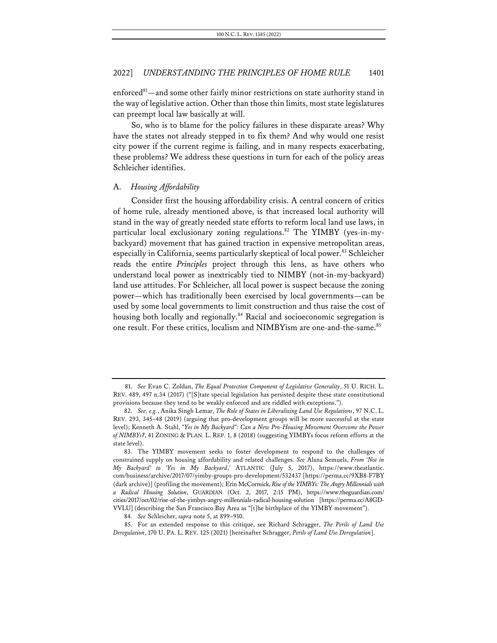enforced<sup>81</sup>—and some other fairly minor restrictions on state authority stand in the way of legislative action. Other than those thin limits, most state legislatures can preempt local law basically at will.

So, who is to blame for the policy failures in these disparate areas? Why have the states not already stepped in to fix them? And why would one resist city power if the current regime is failing, and in many respects exacerbating, these problems? We address these questions in turn for each of the policy areas Schleicher identifies.

### A. *Housing Affordability*

Consider first the housing affordability crisis. A central concern of critics of home rule, already mentioned above, is that increased local authority will stand in the way of greatly needed state efforts to reform local land use laws, in particular local exclusionary zoning regulations.<sup>82</sup> The YIMBY (yes-in-mybackyard) movement that has gained traction in expensive metropolitan areas, especially in California, seems particularly skeptical of local power.<sup>83</sup> Schleicher reads the entire *Principles* project through this lens, as have others who understand local power as inextricably tied to NIMBY (not-in-my-backyard) land use attitudes. For Schleicher, all local power is suspect because the zoning power—which has traditionally been exercised by local governments—can be used by some local governments to limit construction and thus raise the cost of housing both locally and regionally.<sup>84</sup> Racial and socioeconomic segregation is one result. For these critics, localism and NIMBYism are one-and-the-same.<sup>85</sup>

<sup>81.</sup> *See* Evan C. Zoldan, *The Equal Protection Component of Legislative Generality*, 51 U. RICH. L. REV. 489, 497 n.34 (2017) ("[S]tate special legislation has persisted despite these state constitutional provisions because they tend to be weakly enforced and are riddled with exceptions.").

<sup>82.</sup> *See, e.g.*, Anika Singh Lemar, *The Role of States in Liberalizing Land Use Regulations*, 97 N.C. L. REV. 293, 345–48 (2019) (arguing that pro-development groups will be more successful at the state level); Kenneth A. Stahl, *"Yes in My Backyard": Can a New Pro-Housing Movement Overcome the Power of NIMBYs?*, 41 ZONING & PLAN. L. REP. 1, 8 (2018) (suggesting YIMBYs focus reform efforts at the state level).

<sup>83.</sup> The YIMBY movement seeks to foster development to respond to the challenges of constrained supply on housing affordability and related challenges. *See* Alana Semuels, *From 'Not in My Backyard' to 'Yes in My Backyard*,*'* ATLANTIC (July 5, 2017), https://www.theatlantic. com/business/archive/2017/07/yimby-groups-pro-development/532437 [https://perma.cc/9XB8-F7BY (dark archive)] (profiling the movement); Erin McCormick, *Rise of the YIMBYs: The Angry Millennials with a Radical Housing Solution*, GUARDIAN (Oct. 2, 2017, 2:15 PM), https://www.theguardian.com/ cities/2017/oct/02/rise-of-the-yimbys-angry-millennials-radical-housing-solution [https://perma.cc/A8GD-VVLU] (describing the San Francisco Bay Area as "[t]he birthplace of the YIMBY movement").

<sup>84.</sup> *See* Schleicher, *supra* note 5, at 899–910.

<sup>85.</sup> For an extended response to this critique, see Richard Schragger, *The Perils of Land Use Deregulation*, 170 U. PA. L. REV. 125 (2021) [hereinafter Schragger, *Perils of Land Use Deregulation*].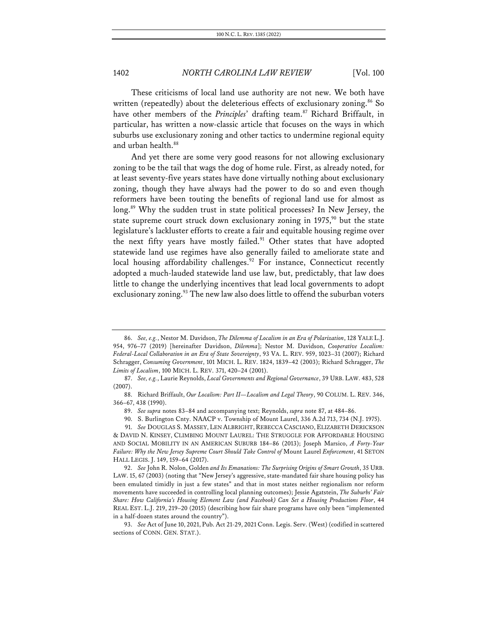These criticisms of local land use authority are not new. We both have written (repeatedly) about the deleterious effects of exclusionary zoning.<sup>86</sup> So have other members of the *Principles*' drafting team.<sup>87</sup> Richard Briffault, in particular, has written a now-classic article that focuses on the ways in which suburbs use exclusionary zoning and other tactics to undermine regional equity and urban health.<sup>88</sup>

And yet there are some very good reasons for not allowing exclusionary zoning to be the tail that wags the dog of home rule. First, as already noted, for at least seventy-five years states have done virtually nothing about exclusionary zoning, though they have always had the power to do so and even though reformers have been touting the benefits of regional land use for almost as long.<sup>89</sup> Why the sudden trust in state political processes? In New Jersey, the state supreme court struck down exclusionary zoning in  $1975$ ,<sup>90</sup> but the state legislature's lackluster efforts to create a fair and equitable housing regime over the next fifty years have mostly failed.<sup>91</sup> Other states that have adopted statewide land use regimes have also generally failed to ameliorate state and local housing affordability challenges.<sup>92</sup> For instance, Connecticut recently adopted a much-lauded statewide land use law, but, predictably, that law does little to change the underlying incentives that lead local governments to adopt exclusionary zoning.<sup>93</sup> The new law also does little to offend the suburban voters

<sup>86.</sup> *See, e.g.*, Nestor M. Davidson, *The Dilemma of Localism in an Era of Polarization*, 128 YALE L.J. 954, 976–77 (2019) [hereinafter Davidson, *Dilemma*]; Nestor M. Davidson, *Cooperative Localism: Federal-Local Collaboration in an Era of State Sovereignty*, 93 VA. L. REV. 959, 1023–31 (2007); Richard Schragger, *Consuming Government*, 101 MICH. L. REV. 1824, 1839–42 (2003); Richard Schragger, *The Limits of Localism*, 100 MICH. L. REV. 371, 420–24 (2001).

<sup>87.</sup> *See, e.g.*, Laurie Reynolds, *Local Governments and Regional Governance*, 39 URB. LAW. 483, 528 (2007).

<sup>88.</sup> Richard Briffault, *Our Localism: Part II—Localism and Legal Theory*, 90 COLUM. L. REV. 346, 366–67, 438 (1990).

<sup>89.</sup> *See supra* notes 83–84 and accompanying text; Reynolds, *supra* note 87, at 484–86.

<sup>90.</sup> S. Burlington Cnty. NAACP v. Township of Mount Laurel, 336 A.2d 713, 734 (N.J. 1975).

<sup>91.</sup> *See* DOUGLAS S. MASSEY, LEN ALBRIGHT, REBECCA CASCIANO, ELIZABETH DERICKSON & DAVID N. KINSEY, CLIMBING MOUNT LAUREL: THE STRUGGLE FOR AFFORDABLE HOUSING AND SOCIAL MOBILITY IN AN AMERICAN SUBURB 184–86 (2013); Joseph Marsico, *A Forty-Year Failure: Why the New Jersey Supreme Court Should Take Control of* Mount Laurel *Enforcement*, 41 SETON HALL LEGIS. J. 149, 159–64 (2017).

<sup>92.</sup> *See* John R. Nolon, Golden *and Its Emanations: The Surprising Origins of Smart Growth*, 35 URB. LAW. 15, 67 (2003) (noting that "New Jersey's aggressive, state-mandated fair share housing policy has been emulated timidly in just a few states" and that in most states neither regionalism nor reform movements have succeeded in controlling local planning outcomes); Jessie Agatstein, *The Suburbs' Fair Share: How California's Housing Element Law (and Facebook) Can Set a Housing Productions Floor*, 44 REAL EST. L.J. 219, 219–20 (2015) (describing how fair share programs have only been "implemented in a half-dozen states around the country").

<sup>93.</sup> *See* Act of June 10, 2021, Pub. Act 21-29, 2021 Conn. Legis. Serv. (West) (codified in scattered sections of CONN. GEN. STAT.).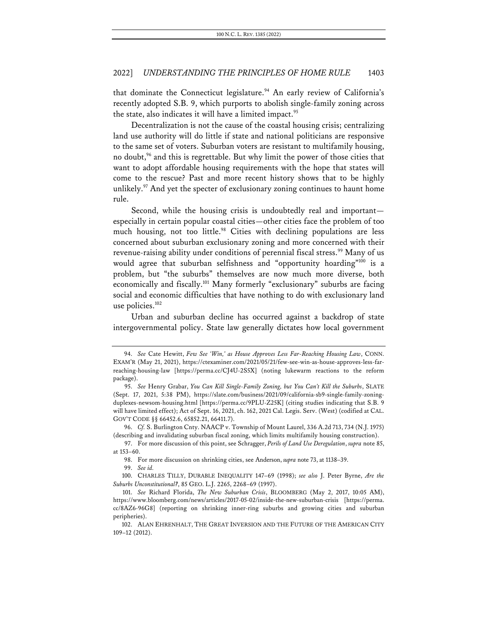that dominate the Connecticut legislature.<sup>94</sup> An early review of California's recently adopted S.B. 9, which purports to abolish single-family zoning across the state, also indicates it will have a limited impact.<sup>95</sup>

Decentralization is not the cause of the coastal housing crisis; centralizing land use authority will do little if state and national politicians are responsive to the same set of voters. Suburban voters are resistant to multifamily housing, no doubt,<sup>96</sup> and this is regrettable. But why limit the power of those cities that want to adopt affordable housing requirements with the hope that states will come to the rescue? Past and more recent history shows that to be highly unlikely.<sup>97</sup> And yet the specter of exclusionary zoning continues to haunt home rule.

Second, while the housing crisis is undoubtedly real and important especially in certain popular coastal cities—other cities face the problem of too much housing, not too little.<sup>98</sup> Cities with declining populations are less concerned about suburban exclusionary zoning and more concerned with their revenue-raising ability under conditions of perennial fiscal stress.<sup>99</sup> Many of us would agree that suburban selfishness and "opportunity hoarding"100 is a problem, but "the suburbs" themselves are now much more diverse, both economically and fiscally.<sup>101</sup> Many formerly "exclusionary" suburbs are facing social and economic difficulties that have nothing to do with exclusionary land use policies.<sup>102</sup>

Urban and suburban decline has occurred against a backdrop of state intergovernmental policy. State law generally dictates how local government

96. *Cf.* S. Burlington Cnty. NAACP v. Township of Mount Laurel, 336 A.2d 713, 734 (N.J. 1975) (describing and invalidating suburban fiscal zoning, which limits multifamily housing construction).

<sup>94.</sup> *See* Cate Hewitt, *Few See 'Win,' as House Approves Less Far-Reaching Housing Law*, CONN. EXAM'R (May 21, 2021), https://ctexaminer.com/2021/05/21/few-see-win-as-house-approves-less-farreaching-housing-law [https://perma.cc/CJ4U-2S5X] (noting lukewarm reactions to the reform package).

<sup>95.</sup> *See* Henry Grabar, *You Can Kill Single-Family Zoning, but You Can't Kill the Suburbs*, SLATE (Sept. 17, 2021, 5:38 PM), https://slate.com/business/2021/09/california-sb9-single-family-zoningduplexes-newsom-housing.html [https://perma.cc/9PLU-Z25K] (citing studies indicating that S.B. 9 will have limited effect); Act of Sept. 16, 2021, ch. 162, 2021 Cal. Legis. Serv. (West) (codified at CAL. GOV'T CODE §§ 66452.6, 65852.21, 66411.7).

<sup>97.</sup> For more discussion of this point, see Schragger, *Perils of Land Use Deregulation*, *supra* note 85, at 153–60.

<sup>98.</sup> For more discussion on shrinking cities, see Anderson, *supra* note 73, at 1138–39.

<sup>99.</sup> *See id.*

<sup>100.</sup> CHARLES TILLY, DURABLE INEQUALITY 147–69 (1998); *see also* J. Peter Byrne, *Are the Suburbs Unconstitutional?*, 85 GEO. L.J. 2265, 2268–69 (1997).

<sup>101.</sup> *See* Richard Florida, *The New Suburban Crisis*, BLOOMBERG (May 2, 2017, 10:05 AM), https://www.bloomberg.com/news/articles/2017-05-02/inside-the-new-suburban-crisis [https://perma. cc/8AZ6-96G8] (reporting on shrinking inner-ring suburbs and growing cities and suburban peripheries).

<sup>102.</sup> ALAN EHRENHALT, THE GREAT INVERSION AND THE FUTURE OF THE AMERICAN CITY 109–12 (2012).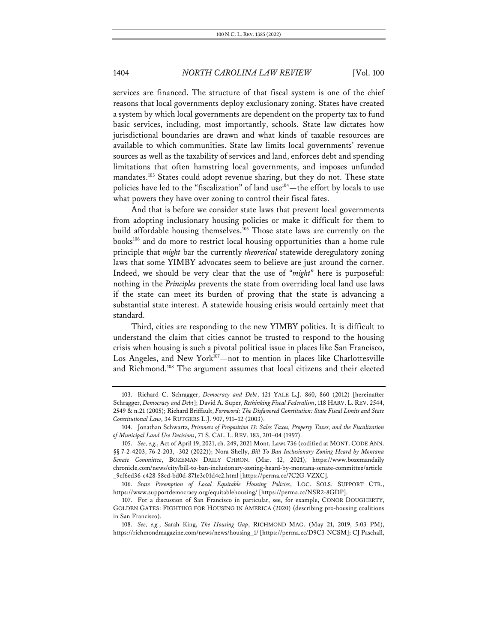services are financed. The structure of that fiscal system is one of the chief reasons that local governments deploy exclusionary zoning. States have created a system by which local governments are dependent on the property tax to fund basic services, including, most importantly, schools. State law dictates how jurisdictional boundaries are drawn and what kinds of taxable resources are available to which communities. State law limits local governments' revenue sources as well as the taxability of services and land, enforces debt and spending limitations that often hamstring local governments, and imposes unfunded mandates.<sup>103</sup> States could adopt revenue sharing, but they do not. These state policies have led to the "fiscalization" of land use<sup>104</sup>—the effort by locals to use what powers they have over zoning to control their fiscal fates.

And that is before we consider state laws that prevent local governments from adopting inclusionary housing policies or make it difficult for them to build affordable housing themselves.<sup>105</sup> Those state laws are currently on the books106 and do more to restrict local housing opportunities than a home rule principle that *might* bar the currently *theoretical* statewide deregulatory zoning laws that some YIMBY advocates seem to believe are just around the corner. Indeed, we should be very clear that the use of "*might*" here is purposeful: nothing in the *Principles* prevents the state from overriding local land use laws if the state can meet its burden of proving that the state is advancing a substantial state interest. A statewide housing crisis would certainly meet that standard.

Third, cities are responding to the new YIMBY politics. It is difficult to understand the claim that cities cannot be trusted to respond to the housing crisis when housing is such a pivotal political issue in places like San Francisco, Los Angeles, and New York<sup>107</sup>—not to mention in places like Charlottesville and Richmond.108 The argument assumes that local citizens and their elected

106. *State Preemption of Local Equitable Housing Policies*, LOC. SOLS. SUPPORT CTR., https://www.supportdemocracy.org/equitablehousing/ [https://perma.cc/NSR2-8GDP].

<sup>103.</sup> Richard C. Schragger, *Democracy and Debt*, 121 YALE L.J. 860, 860 (2012) [hereinafter Schragger, *Democracy and Debt*]; David A. Super, *Rethinking Fiscal Federalism*, 118 HARV. L. REV. 2544, 2549 & n.21 (2005); Richard Briffault, *Foreword: The Disfavored Constitution: State Fiscal Limits and State Constitutional Law*, 34 RUTGERS L.J. 907, 911–12 (2003).

<sup>104.</sup> Jonathan Schwartz, *Prisoners of Proposition 13: Sales Taxes, Property Taxes, and the Fiscalization of Municipal Land Use Decisions*, 71 S. CAL. L. REV. 183, 201–04 (1997).

<sup>105.</sup> *See, e.g.*, Act of April 19, 2021, ch. 249, 2021 Mont. Laws 736 (codified at MONT. CODE ANN. §§ 7-2-4203, 76-2-203, -302 (2022)); Nora Shelly, *Bill To Ban Inclusionary Zoning Heard by Montana Senate Committee*, BOZEMAN DAILY CHRON. (Mar. 12, 2021), https://www.bozemandaily chronicle.com/news/city/bill-to-ban-inclusionary-zoning-heard-by-montana-senate-committee/article \_9cf6ed36-c428-58cd-bd0d-871e3c01d4c2.html [https://perma.cc/7C2G-VZXC].

<sup>107.</sup> For a discussion of San Francisco in particular, see, for example, CONOR DOUGHERTY, GOLDEN GATES: FIGHTING FOR HOUSING IN AMERICA (2020) (describing pro-housing coalitions in San Francisco).

<sup>108.</sup> *See, e.g.*, Sarah King, *The Housing Gap*, RICHMOND MAG. (May 21, 2019, 5:03 PM), https://richmondmagazine.com/news/news/housing\_1/ [https://perma.cc/D9C3-NCSM]; CJ Paschall,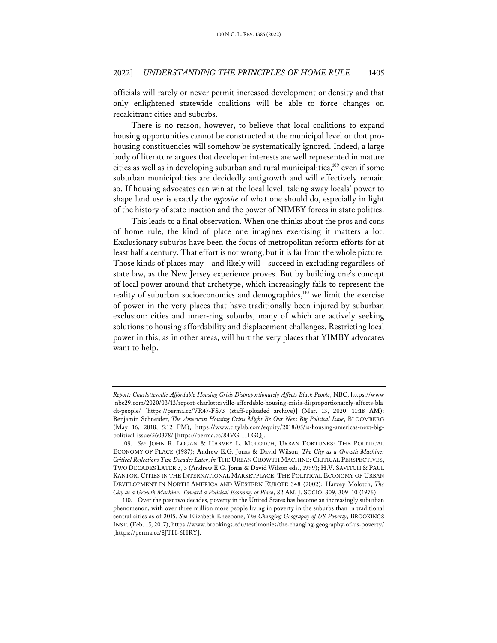officials will rarely or never permit increased development or density and that only enlightened statewide coalitions will be able to force changes on recalcitrant cities and suburbs.

There is no reason, however, to believe that local coalitions to expand housing opportunities cannot be constructed at the municipal level or that prohousing constituencies will somehow be systematically ignored. Indeed, a large body of literature argues that developer interests are well represented in mature cities as well as in developing suburban and rural municipalities, $109$  even if some suburban municipalities are decidedly antigrowth and will effectively remain so. If housing advocates can win at the local level, taking away locals' power to shape land use is exactly the *opposite* of what one should do, especially in light of the history of state inaction and the power of NIMBY forces in state politics.

This leads to a final observation. When one thinks about the pros and cons of home rule, the kind of place one imagines exercising it matters a lot. Exclusionary suburbs have been the focus of metropolitan reform efforts for at least half a century. That effort is not wrong, but it is far from the whole picture. Those kinds of places may—and likely will—succeed in excluding regardless of state law, as the New Jersey experience proves. But by building one's concept of local power around that archetype, which increasingly fails to represent the reality of suburban socioeconomics and demographics,<sup>110</sup> we limit the exercise of power in the very places that have traditionally been injured by suburban exclusion: cities and inner-ring suburbs, many of which are actively seeking solutions to housing affordability and displacement challenges. Restricting local power in this, as in other areas, will hurt the very places that YIMBY advocates want to help.

*Report: Charlottesville Affordable Housing Crisis Disproportionately Affects Black People*, NBC, https://www .nbc29.com/2020/03/13/report-charlottesville-affordable-housing-crisis-disproportionately-affects-bla ck-people/ [https://perma.cc/VR47-FS73 (staff-uploaded archive)] (Mar. 13, 2020, 11:18 AM); Benjamin Schneider, *The American Housing Crisis Might Be Our Next Big Political Issue*, BLOOMBERG (May 16, 2018, 5:12 PM), https://www.citylab.com/equity/2018/05/is-housing-americas-next-bigpolitical-issue/560378/ [https://perma.cc/84VG-HLGQ].

<sup>109.</sup> *See* JOHN R. LOGAN & HARVEY L. MOLOTCH, URBAN FORTUNES: THE POLITICAL ECONOMY OF PLACE (1987); Andrew E.G. Jonas & David Wilson, *The City as a Growth Machine: Critical Reflections Two Decades Later*, *in* THE URBAN GROWTH MACHINE: CRITICAL PERSPECTIVES, TWO DECADES LATER 3, 3 (Andrew E.G. Jonas & David Wilson eds., 1999); H.V. SAVITCH & PAUL KANTOR, CITIES IN THE INTERNATIONAL MARKETPLACE: THE POLITICAL ECONOMY OF URBAN DEVELOPMENT IN NORTH AMERICA AND WESTERN EUROPE 348 (2002); Harvey Molotch, *The City as a Growth Machine: Toward a Political Economy of Place*, 82 AM. J. SOCIO. 309, 309–10 (1976).

<sup>110.</sup> Over the past two decades, poverty in the United States has become an increasingly suburban phenomenon, with over three million more people living in poverty in the suburbs than in traditional central cities as of 2015. *See* Elizabeth Kneebone, *The Changing Geography of US Poverty*, BROOKINGS INST. (Feb. 15, 2017), https://www.brookings.edu/testimonies/the-changing-geography-of-us-poverty/ [https://perma.cc/8JTH-6HRY].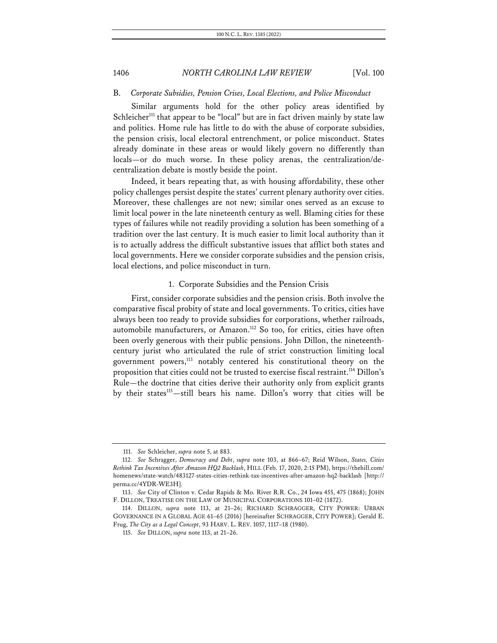### B. *Corporate Subsidies, Pension Crises, Local Elections, and Police Misconduct*

Similar arguments hold for the other policy areas identified by Schleicher<sup>111</sup> that appear to be "local" but are in fact driven mainly by state law and politics. Home rule has little to do with the abuse of corporate subsidies, the pension crisis, local electoral entrenchment, or police misconduct. States already dominate in these areas or would likely govern no differently than locals—or do much worse. In these policy arenas, the centralization/decentralization debate is mostly beside the point.

Indeed, it bears repeating that, as with housing affordability, these other policy challenges persist despite the states' current plenary authority over cities. Moreover, these challenges are not new; similar ones served as an excuse to limit local power in the late nineteenth century as well. Blaming cities for these types of failures while not readily providing a solution has been something of a tradition over the last century. It is much easier to limit local authority than it is to actually address the difficult substantive issues that afflict both states and local governments. Here we consider corporate subsidies and the pension crisis, local elections, and police misconduct in turn.

### 1. Corporate Subsidies and the Pension Crisis

First, consider corporate subsidies and the pension crisis. Both involve the comparative fiscal probity of state and local governments. To critics, cities have always been too ready to provide subsidies for corporations, whether railroads, automobile manufacturers, or Amazon.<sup>112</sup> So too, for critics, cities have often been overly generous with their public pensions. John Dillon, the nineteenthcentury jurist who articulated the rule of strict construction limiting local government powers, <sup>113</sup> notably centered his constitutional theory on the proposition that cities could not be trusted to exercise fiscal restraint.<sup>114</sup> Dillon's Rule—the doctrine that cities derive their authority only from explicit grants by their states<sup>115</sup>-still bears his name. Dillon's worry that cities will be

<sup>111.</sup> *See* Schleicher, *supra* note 5, at 883.

<sup>112.</sup> *See* Schragger, *Democracy and Debt*, *supra* note 103, at 866–67; Reid Wilson, *States, Cities Rethink Tax Incentives After Amazon HQ2 Backlash*, HILL (Feb. 17, 2020, 2:15 PM), https://thehill.com/ homenews/state-watch/483127-states-cities-rethink-tax-incentives-after-amazon-hq2-backlash [http:// perma.cc/4YDR-WE3H].

<sup>113.</sup> *See* City of Clinton v. Cedar Rapids & Mo. River R.R. Co., 24 Iowa 455, 475 (1868); JOHN F. DILLON, TREATISE ON THE LAW OF MUNICIPAL CORPORATIONS 101–02 (1872).

<sup>114.</sup> DILLON, *supra* note 113, at 21–26; RICHARD SCHRAGGER, CITY POWER: URBAN GOVERNANCE IN A GLOBAL AGE 61–65 (2016) [hereinafter SCHRAGGER, CITY POWER]; Gerald E. Frug, *The City as a Legal Concept*, 93 HARV. L. REV. 1057, 1117–18 (1980).

<sup>115.</sup> *See* DILLON, *supra* note 113, at 21–26.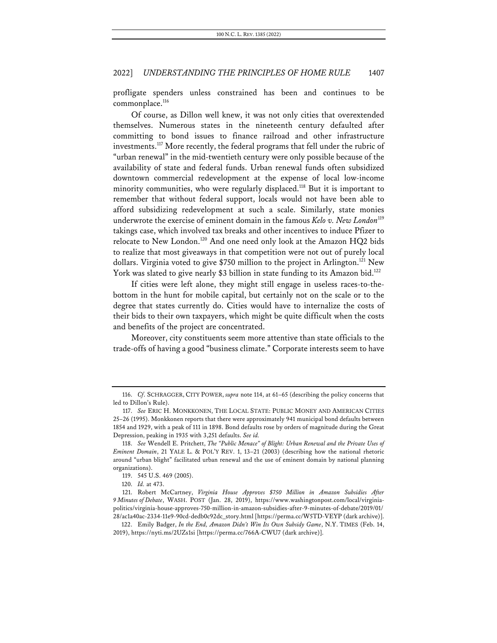profligate spenders unless constrained has been and continues to be commonplace.<sup>116</sup>

Of course, as Dillon well knew, it was not only cities that overextended themselves. Numerous states in the nineteenth century defaulted after committing to bond issues to finance railroad and other infrastructure investments.117 More recently, the federal programs that fell under the rubric of "urban renewal" in the mid-twentieth century were only possible because of the availability of state and federal funds. Urban renewal funds often subsidized downtown commercial redevelopment at the expense of local low-income minority communities, who were regularly displaced.<sup>118</sup> But it is important to remember that without federal support, locals would not have been able to afford subsidizing redevelopment at such a scale. Similarly, state monies underwrote the exercise of eminent domain in the famous *Kelo v. New London*<sup>119</sup> takings case, which involved tax breaks and other incentives to induce Pfizer to relocate to New London.<sup>120</sup> And one need only look at the Amazon HQ2 bids to realize that most giveaways in that competition were not out of purely local dollars. Virginia voted to give \$750 million to the project in Arlington.<sup>121</sup> New York was slated to give nearly \$3 billion in state funding to its Amazon bid.<sup>122</sup>

If cities were left alone, they might still engage in useless races-to-thebottom in the hunt for mobile capital, but certainly not on the scale or to the degree that states currently do. Cities would have to internalize the costs of their bids to their own taxpayers, which might be quite difficult when the costs and benefits of the project are concentrated.

Moreover, city constituents seem more attentive than state officials to the trade-offs of having a good "business climate." Corporate interests seem to have

<sup>116.</sup> *Cf*. SCHRAGGER, CITY POWER, *supra* note 114, at 61–65 (describing the policy concerns that led to Dillon's Rule).

<sup>117.</sup> *See* ERIC H. MONKKONEN, THE LOCAL STATE: PUBLIC MONEY AND AMERICAN CITIES 25–26 (1995). Monkkonen reports that there were approximately 941 municipal bond defaults between 1854 and 1929, with a peak of 111 in 1898. Bond defaults rose by orders of magnitude during the Great Depression, peaking in 1935 with 3,251 defaults. *See id.*

<sup>118.</sup> *See* Wendell E. Pritchett, *The "Public Menace" of Blight: Urban Renewal and the Private Uses of Eminent Domain*, 21 YALE L. & POL'Y REV. 1, 13–21 (2003) (describing how the national rhetoric around "urban blight" facilitated urban renewal and the use of eminent domain by national planning organizations).

<sup>119.</sup> 545 U.S. 469 (2005).

<sup>120.</sup> *Id.* at 473.

<sup>121.</sup> Robert McCartney, *Virginia House Approves \$750 Million in Amazon Subsidies After 9 Minutes of Debate*, WASH. POST (Jan. 28, 2019), https://www.washingtonpost.com/local/virginiapolitics/virginia-house-approves-750-million-in-amazon-subsidies-after-9-minutes-of-debate/2019/01/ 28/ac1a40ac-2334-11e9-90cd-dedb0c92dc\_story.html [https://perma.cc/W5TD-VEYP (dark archive)].

<sup>122.</sup> Emily Badger, *In the End, Amazon Didn't Win Its Own Subsidy Game*, N.Y. TIMES (Feb. 14, 2019), https://nyti.ms/2UZs1si [https://perma.cc/766A-CWU7 (dark archive)].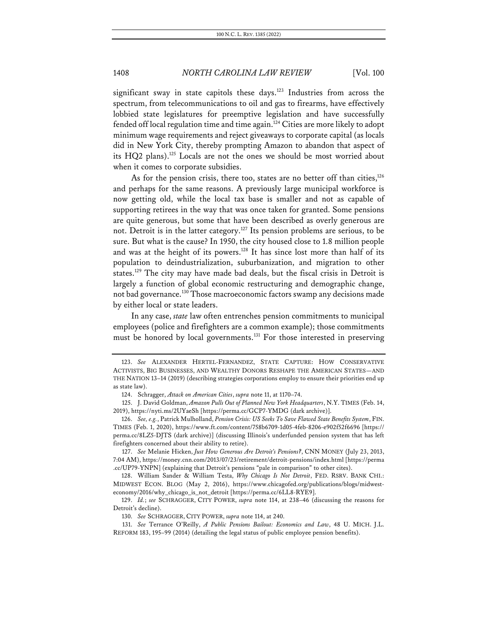significant sway in state capitols these days. $123$  Industries from across the spectrum, from telecommunications to oil and gas to firearms, have effectively lobbied state legislatures for preemptive legislation and have successfully fended off local regulation time and time again.<sup>124</sup> Cities are more likely to adopt minimum wage requirements and reject giveaways to corporate capital (as locals did in New York City, thereby prompting Amazon to abandon that aspect of its HQ2 plans).<sup>125</sup> Locals are not the ones we should be most worried about when it comes to corporate subsidies.

As for the pension crisis, there too, states are no better off than cities, $126$ and perhaps for the same reasons. A previously large municipal workforce is now getting old, while the local tax base is smaller and not as capable of supporting retirees in the way that was once taken for granted. Some pensions are quite generous, but some that have been described as overly generous are not. Detroit is in the latter category.<sup>127</sup> Its pension problems are serious, to be sure. But what is the cause? In 1950, the city housed close to 1.8 million people and was at the height of its powers.<sup>128</sup> It has since lost more than half of its population to deindustrialization, suburbanization, and migration to other states.<sup>129</sup> The city may have made bad deals, but the fiscal crisis in Detroit is largely a function of global economic restructuring and demographic change, not bad governance.<sup>130</sup> Those macroeconomic factors swamp any decisions made by either local or state leaders.

In any case, *state* law often entrenches pension commitments to municipal employees (police and firefighters are a common example); those commitments must be honored by local governments.<sup>131</sup> For those interested in preserving

128. William Sander & William Testa, *Why Chicago Is Not Detroit*, FED. RSRV. BANK CHI.: MIDWEST ECON. BLOG (May 2, 2016), https://www.chicagofed.org/publications/blogs/midwesteconomy/2016/why\_chicago\_is\_not\_detroit [https://perma.cc/6LL8-RYE9].

129. *Id.*; *see* SCHRAGGER, CITY POWER, *supra* note 114, at 238–46 (discussing the reasons for Detroit's decline).

<sup>123.</sup> *See* ALEXANDER HERTEL-FERNANDEZ, STATE CAPTURE: HOW CONSERVATIVE ACTIVISTS, BIG BUSINESSES, AND WEALTHY DONORS RESHAPE THE AMERICAN STATES—AND THE NATION 13–14 (2019) (describing strategies corporations employ to ensure their priorities end up as state law).

<sup>124.</sup> Schragger, *Attack on American Cities*, *supra* note 11, at 1170–74.

<sup>125.</sup> J. David Goldman, *Amazon Pulls Out of Planned New York Headquarters*, N.Y. TIMES (Feb. 14, 2019), https://nyti.ms/2UYaeSh [https://perma.cc/GCP7-YMDG (dark archive)].

<sup>126.</sup> *See, e.g.*, Patrick Mulholland, *Pension Crisis: US Seeks To Save Flawed State Benefits System*, FIN. TIMES (Feb. 1, 2020), https://www.ft.com/content/758b6709-1d05-4feb-8206-e902f52f6696 [https:// perma.cc/8LZ5-DJTS (dark archive)] (discussing Illinois's underfunded pension system that has left firefighters concerned about their ability to retire).

<sup>127.</sup> *See* Melanie Hicken, *Just How Generous Are Detroit's Pensions?*, CNN MONEY (July 23, 2013, 7:04 AM), https://money.cnn.com/2013/07/23/retirement/detroit-pensions/index.html [https://perma .cc/UP79-YNPN] (explaining that Detroit's pensions "pale in comparison" to other cites).

<sup>130.</sup> *See* SCHRAGGER, CITY POWER, *supra* note 114, at 240.

<sup>131.</sup> *See* Terrance O'Reilly, *A Public Pensions Bailout: Economics and Law*, 48 U. MICH. J.L. REFORM 183, 195–99 (2014) (detailing the legal status of public employee pension benefits).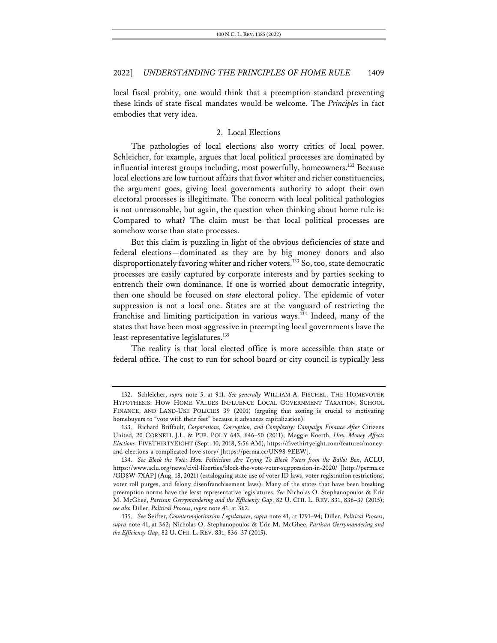local fiscal probity, one would think that a preemption standard preventing these kinds of state fiscal mandates would be welcome. The *Principles* in fact embodies that very idea.

# 2. Local Elections

The pathologies of local elections also worry critics of local power. Schleicher, for example, argues that local political processes are dominated by influential interest groups including, most powerfully, homeowners.<sup>132</sup> Because local elections are low turnout affairs that favor whiter and richer constituencies, the argument goes, giving local governments authority to adopt their own electoral processes is illegitimate. The concern with local political pathologies is not unreasonable, but again, the question when thinking about home rule is: Compared to what? The claim must be that local political processes are somehow worse than state processes.

But this claim is puzzling in light of the obvious deficiencies of state and federal elections—dominated as they are by big money donors and also disproportionately favoring whiter and richer voters.<sup>133</sup> So, too, state democratic processes are easily captured by corporate interests and by parties seeking to entrench their own dominance. If one is worried about democratic integrity, then one should be focused on *state* electoral policy. The epidemic of voter suppression is not a local one. States are at the vanguard of restricting the franchise and limiting participation in various ways.134 Indeed, many of the states that have been most aggressive in preempting local governments have the least representative legislatures.<sup>135</sup>

The reality is that local elected office is more accessible than state or federal office. The cost to run for school board or city council is typically less

<sup>132.</sup> Schleicher, *supra* note 5, at 911. *See generally* WILLIAM A. FISCHEL, THE HOMEVOTER HYPOTHESIS: HOW HOME VALUES INFLUENCE LOCAL GOVERNMENT TAXATION, SCHOOL FINANCE, AND LAND-USE POLICIES 39 (2001) (arguing that zoning is crucial to motivating homebuyers to "vote with their feet" because it advances capitalization).

<sup>133.</sup> Richard Briffault, *Corporations, Corruption, and Complexity: Campaign Finance After* Citizens United, 20 CORNELL J.L. & PUB. POL'Y 643, 646–50 (2011); Maggie Koerth, *How Money Affects Elections*, FIVETHIRTYEIGHT (Sept. 10, 2018, 5:56 AM), https://fivethirtyeight.com/features/moneyand-elections-a-complicated-love-story/ [https://perma.cc/UN98-9EEW].

<sup>134.</sup> *See Block the Vote: How Politicians Are Trying To Block Voters from the Ballot Box*, ACLU, https://www.aclu.org/news/civil-liberties/block-the-vote-voter-suppression-in-2020/ [http://perma.cc /GD8W-7XAP] (Aug. 18, 2021) (cataloguing state use of voter ID laws, voter registration restrictions, voter roll purges, and felony disenfranchisement laws). Many of the states that have been breaking preemption norms have the least representative legislatures. *See* Nicholas O. Stephanopoulos & Eric M. McGhee, *Partisan Gerrymandering and the Efficiency Gap*, 82 U. CHI. L. REV. 831, 836–37 (2015); *see also* Diller, *Political Process*, *supra* note 41, at 362.

<sup>135.</sup> *See* Seifter, *Countermajoritarian Legislatures*, *supra* note 41, at 1791–94; Diller, *Political Process*, *supra* note 41, at 362; Nicholas O. Stephanopoulos & Eric M. McGhee, *Partisan Gerrymandering and the Efficiency Gap*, 82 U. CHI. L. REV. 831, 836–37 (2015).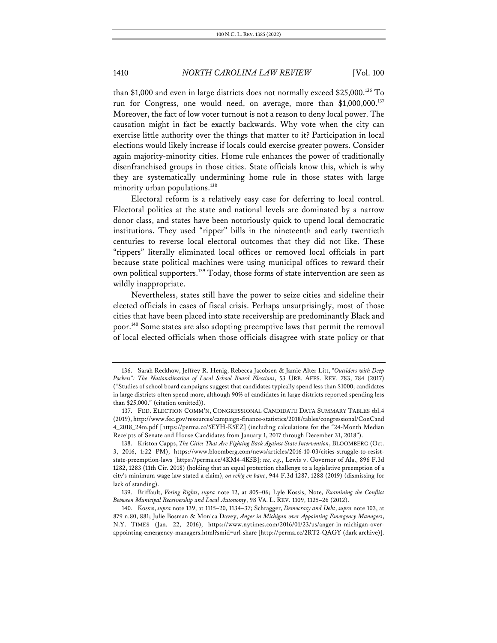than \$1,000 and even in large districts does not normally exceed \$25,000.<sup>136</sup> To run for Congress, one would need, on average, more than \$1,000,000.<sup>137</sup> Moreover, the fact of low voter turnout is not a reason to deny local power. The causation might in fact be exactly backwards. Why vote when the city can exercise little authority over the things that matter to it? Participation in local elections would likely increase if locals could exercise greater powers. Consider again majority-minority cities. Home rule enhances the power of traditionally disenfranchised groups in those cities. State officials know this, which is why they are systematically undermining home rule in those states with large minority urban populations.<sup>138</sup>

Electoral reform is a relatively easy case for deferring to local control. Electoral politics at the state and national levels are dominated by a narrow donor class, and states have been notoriously quick to upend local democratic institutions. They used "ripper" bills in the nineteenth and early twentieth centuries to reverse local electoral outcomes that they did not like. These "rippers" literally eliminated local offices or removed local officials in part because state political machines were using municipal offices to reward their own political supporters.<sup>139</sup> Today, those forms of state intervention are seen as wildly inappropriate.

Nevertheless, states still have the power to seize cities and sideline their elected officials in cases of fiscal crisis. Perhaps unsurprisingly, most of those cities that have been placed into state receivership are predominantly Black and poor.140 Some states are also adopting preemptive laws that permit the removal of local elected officials when those officials disagree with state policy or that

<sup>136.</sup> Sarah Reckhow, Jeffrey R. Henig, Rebecca Jacobsen & Jamie Alter Litt, *"Outsiders with Deep Pockets": The Nationalization of Local School Board Elections*, 53 URB. AFFS. REV. 783, 784 (2017) ("Studies of school board campaigns suggest that candidates typically spend less than \$1000; candidates in large districts often spend more, although 90% of candidates in large districts reported spending less than \$25,000." (citation omitted)).

<sup>137.</sup> FED. ELECTION COMM'N, CONGRESSIONAL CANDIDATE DATA SUMMARY TABLES tbl.4 (2019), http://www.fec.gov/resources/campaign-finance-statistics/2018/tables/congressional/ConCand 4\_2018\_24m.pdf [https://perma.cc/5EYH-K5EZ] (including calculations for the "24-Month Median Receipts of Senate and House Candidates from January 1, 2017 through December 31, 2018").

<sup>138.</sup> Kriston Capps, *The Cities That Are Fighting Back Against State Intervention*, BLOOMBERG (Oct. 3, 2016, 1:22 PM), https://www.bloomberg.com/news/articles/2016-10-03/cities-struggle-to-resiststate-preemption-laws [https://perma.cc/4KM4-4K5B]; *see, e.g.*, Lewis v. Governor of Ala., 896 F.3d 1282, 1283 (11th Cir. 2018) (holding that an equal protection challenge to a legislative preemption of a city's minimum wage law stated a claim), *on reh'g en banc*, 944 F.3d 1287, 1288 (2019) (dismissing for lack of standing).

<sup>139.</sup> Briffault, *Voting Rights*, *supra* note 12, at 805–06; Lyle Kossis, Note, *Examining the Conflict Between Municipal Receivership and Local Autonomy*, 98 VA. L. REV. 1109, 1125–26 (2012).

<sup>140.</sup> Kossis, *supra* note 139, at 1115–20, 1134–37; Schragger, *Democracy and Debt*, *supra* note 103, at 879 n.80, 881; Julie Bosman & Monica Davey, *Anger in Michigan over Appointing Emergency Managers*, N.Y. TIMES (Jan. 22, 2016), https://www.nytimes.com/2016/01/23/us/anger-in-michigan-overappointing-emergency-managers.html?smid=url-share [http://perma.cc/2RT2-QAGY (dark archive)].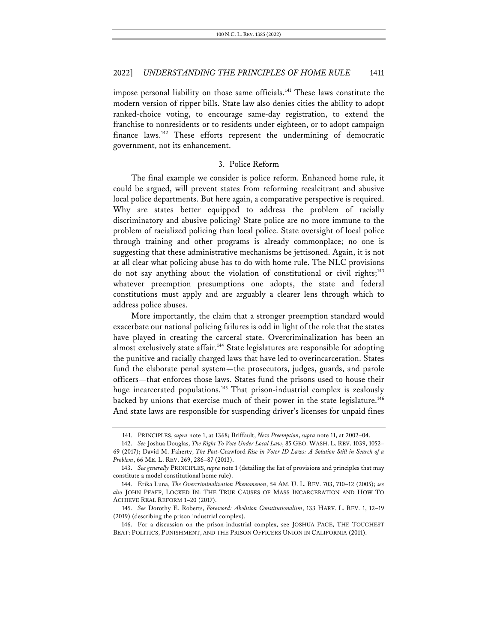impose personal liability on those same officials.<sup>141</sup> These laws constitute the modern version of ripper bills. State law also denies cities the ability to adopt ranked-choice voting, to encourage same-day registration, to extend the franchise to nonresidents or to residents under eighteen, or to adopt campaign finance laws.142 These efforts represent the undermining of democratic government, not its enhancement.

### 3. Police Reform

The final example we consider is police reform. Enhanced home rule, it could be argued, will prevent states from reforming recalcitrant and abusive local police departments. But here again, a comparative perspective is required. Why are states better equipped to address the problem of racially discriminatory and abusive policing? State police are no more immune to the problem of racialized policing than local police. State oversight of local police through training and other programs is already commonplace; no one is suggesting that these administrative mechanisms be jettisoned. Again, it is not at all clear what policing abuse has to do with home rule. The NLC provisions do not say anything about the violation of constitutional or civil rights;<sup>143</sup> whatever preemption presumptions one adopts, the state and federal constitutions must apply and are arguably a clearer lens through which to address police abuses.

More importantly, the claim that a stronger preemption standard would exacerbate our national policing failures is odd in light of the role that the states have played in creating the carceral state. Overcriminalization has been an almost exclusively state affair.<sup>144</sup> State legislatures are responsible for adopting the punitive and racially charged laws that have led to overincarceration. States fund the elaborate penal system—the prosecutors, judges, guards, and parole officers—that enforces those laws. States fund the prisons used to house their huge incarcerated populations.<sup>145</sup> That prison-industrial complex is zealously backed by unions that exercise much of their power in the state legislature.<sup>146</sup> And state laws are responsible for suspending driver's licenses for unpaid fines

<sup>141.</sup> PRINCIPLES, *supra* note 1, at 1368; Briffault, *New Preemption*, *supra* note 11, at 2002–04.

<sup>142.</sup> *See* Joshua Douglas, *The Right To Vote Under Local Law*, 85 GEO. WASH. L. REV. 1039, 1052– 69 (2017); David M. Faherty, *The Post-*Crawford *Rise in Voter ID Laws: A Solution Still in Search of a Problem*, 66 ME. L. REV. 269, 286–87 (2013).

<sup>143.</sup> *See generally* PRINCIPLES, *supra* note 1 (detailing the list of provisions and principles that may constitute a model constitutional home rule).

<sup>144.</sup> Erika Luna, *The Overcriminalization Phenomenon*, 54 AM. U. L. REV. 703, 710–12 (2005); *see also* JOHN PFAFF, LOCKED IN: THE TRUE CAUSES OF MASS INCARCERATION AND HOW TO ACHIEVE REAL REFORM 1–20 (2017).

<sup>145.</sup> *See* Dorothy E. Roberts, *Foreword: Abolition Constitutionalism*, 133 HARV. L. REV. 1, 12–19 (2019) (describing the prison industrial complex).

<sup>146.</sup> For a discussion on the prison-industrial complex, see JOSHUA PAGE, THE TOUGHEST BEAT: POLITICS, PUNISHMENT, AND THE PRISON OFFICERS UNION IN CALIFORNIA (2011).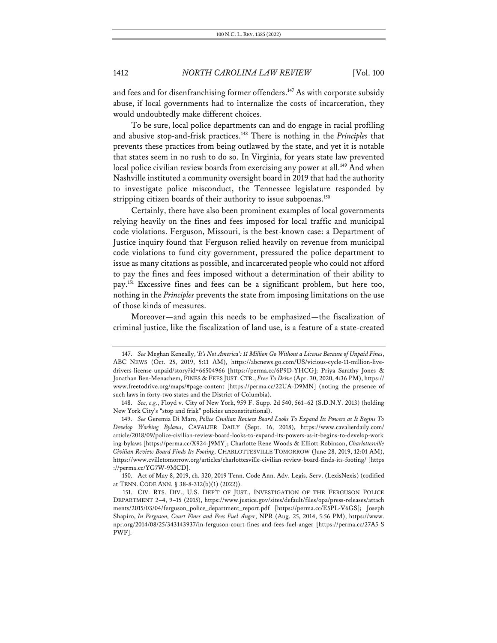and fees and for disenfranchising former offenders.<sup>147</sup> As with corporate subsidy abuse, if local governments had to internalize the costs of incarceration, they would undoubtedly make different choices.

To be sure, local police departments can and do engage in racial profiling and abusive stop-and-frisk practices.148 There is nothing in the *Principles* that prevents these practices from being outlawed by the state, and yet it is notable that states seem in no rush to do so. In Virginia, for years state law prevented local police civilian review boards from exercising any power at all.<sup>149</sup> And when Nashville instituted a community oversight board in 2019 that had the authority to investigate police misconduct, the Tennessee legislature responded by stripping citizen boards of their authority to issue subpoenas.<sup>150</sup>

Certainly, there have also been prominent examples of local governments relying heavily on the fines and fees imposed for local traffic and municipal code violations. Ferguson, Missouri, is the best-known case: a Department of Justice inquiry found that Ferguson relied heavily on revenue from municipal code violations to fund city government, pressured the police department to issue as many citations as possible, and incarcerated people who could not afford to pay the fines and fees imposed without a determination of their ability to pay. <sup>151</sup> Excessive fines and fees can be a significant problem, but here too, nothing in the *Principles* prevents the state from imposing limitations on the use of those kinds of measures.

Moreover—and again this needs to be emphasized—the fiscalization of criminal justice, like the fiscalization of land use, is a feature of a state-created

150. Act of May 8, 2019, ch. 320, 2019 Tenn. Code Ann. Adv. Legis. Serv. (LexisNexis) (codified at TENN. CODE ANN. § 38-8-312(b)(1) (2022)).

<sup>147.</sup> *See* Meghan Keneally, *'It's Not America': 11 Million Go Without a License Because of Unpaid Fines*, ABC NEWS (Oct. 25, 2019, 5:11 AM), https://abcnews.go.com/US/vicious-cycle-11-million-livedrivers-license-unpaid/story?id=66504966 [https://perma.cc/6P9D-YHCG]; Priya Sarathy Jones & Jonathan Ben-Menachem, FINES & FEES JUST. CTR., *Free To Drive* (Apr. 30, 2020, 4:36 PM), https:// www.freetodrive.org/maps/#page-content [https://perma.cc/22UA-D9MN] (noting the presence of such laws in forty-two states and the District of Columbia).

<sup>148.</sup> *See, e.g.*, Floyd v. City of New York, 959 F. Supp. 2d 540, 561–62 (S.D.N.Y. 2013) (holding New York City's "stop and frisk" policies unconstitutional).

<sup>149.</sup> *See* Geremia Di Maro, *Police Civilian Review Board Looks To Expand Its Powers as It Begins To Develop Working Bylaws*, CAVALIER DAILY (Sept. 16, 2018), https://www.cavalierdaily.com/ article/2018/09/police-civilian-review-board-looks-to-expand-its-powers-as-it-begins-to-develop-work ing-bylaws [https://perma.cc/X924-J9MY]; Charlotte Rene Woods & Elliott Robinson, *Charlottesville Civilian Review Board Finds Its Footing*, CHARLOTTESVILLE TOMORROW (June 28, 2019, 12:01 AM), https://www.cvilletomorrow.org/articles/charlottesville-civilian-review-board-finds-its-footing/ [https ://perma.cc/YG7W-9MCD].

<sup>151.</sup> CIV. RTS. DIV., U.S. DEP'T OF JUST., INVESTIGATION OF THE FERGUSON POLICE DEPARTMENT 2–4, 9–15 (2015), https://www.justice.gov/sites/default/files/opa/press-releases/attach ments/2015/03/04/ferguson\_police\_department\_report.pdf [https://perma.cc/E5PL-V6GS]; Joseph Shapiro, *In Ferguson, Court Fines and Fees Fuel Anger*, NPR (Aug. 25, 2014, 5:56 PM), https://www. npr.org/2014/08/25/343143937/in-ferguson-court-fines-and-fees-fuel-anger [https://perma.cc/27A5-S PWF].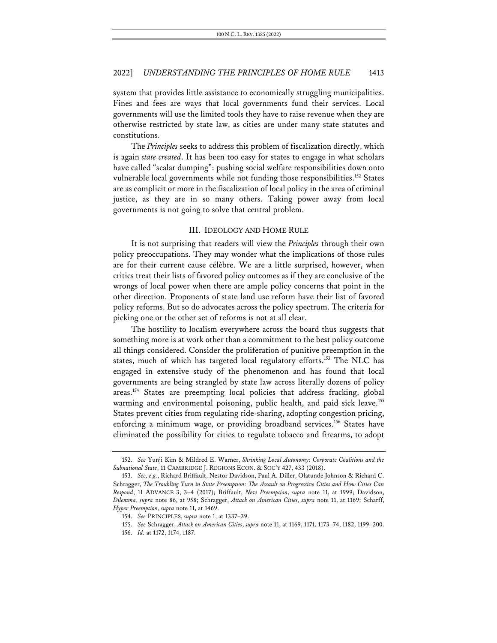system that provides little assistance to economically struggling municipalities. Fines and fees are ways that local governments fund their services. Local governments will use the limited tools they have to raise revenue when they are otherwise restricted by state law, as cities are under many state statutes and constitutions.

The *Principles* seeks to address this problem of fiscalization directly, which is again *state created*. It has been too easy for states to engage in what scholars have called "scalar dumping": pushing social welfare responsibilities down onto vulnerable local governments while not funding those responsibilities.<sup>152</sup> States are as complicit or more in the fiscalization of local policy in the area of criminal justice, as they are in so many others. Taking power away from local governments is not going to solve that central problem.

### III. IDEOLOGY AND HOME RULE

It is not surprising that readers will view the *Principles* through their own policy preoccupations. They may wonder what the implications of those rules are for their current cause célèbre. We are a little surprised, however, when critics treat their lists of favored policy outcomes as if they are conclusive of the wrongs of local power when there are ample policy concerns that point in the other direction. Proponents of state land use reform have their list of favored policy reforms. But so do advocates across the policy spectrum. The criteria for picking one or the other set of reforms is not at all clear.

The hostility to localism everywhere across the board thus suggests that something more is at work other than a commitment to the best policy outcome all things considered. Consider the proliferation of punitive preemption in the states, much of which has targeted local regulatory efforts.<sup>153</sup> The NLC has engaged in extensive study of the phenomenon and has found that local governments are being strangled by state law across literally dozens of policy areas.154 States are preempting local policies that address fracking, global warming and environmental poisoning, public health, and paid sick leave.<sup>155</sup> States prevent cities from regulating ride-sharing, adopting congestion pricing, enforcing a minimum wage, or providing broadband services.<sup>156</sup> States have eliminated the possibility for cities to regulate tobacco and firearms, to adopt

<sup>152.</sup> *See* Yunji Kim & Mildred E. Warner, *Shrinking Local Autonomy: Corporate Coalitions and the Subnational State*, 11 CAMBRIDGE J. REGIONS ECON. & SOC'Y 427, 433 (2018).

<sup>153.</sup> *See, e.g.*, Richard Briffault, Nestor Davidson, Paul A. Diller, Olatunde Johnson & Richard C. Schragger, *The Troubling Turn in State Preemption: The Assault on Progressive Cities and How Cities Can Respond*, 11 ADVANCE 3, 3–4 (2017); Briffault, *New Preemption*, *supra* note 11, at 1999; Davidson, *Dilemma*, *supra* note 86, at 958; Schragger, *Attack on American Cities*, *supra* note 11, at 1169; Scharff, *Hyper Preemption*, *supra* note 11, at 1469.

<sup>154.</sup> *See* PRINCIPLES, *supra* note 1, at 1337–39.

<sup>155.</sup> *See* Schragger, *Attack on American Cities*, *supra* note 11, at 1169, 1171, 1173–74, 1182, 1199–200.

<sup>156.</sup> *Id.* at 1172, 1174, 1187.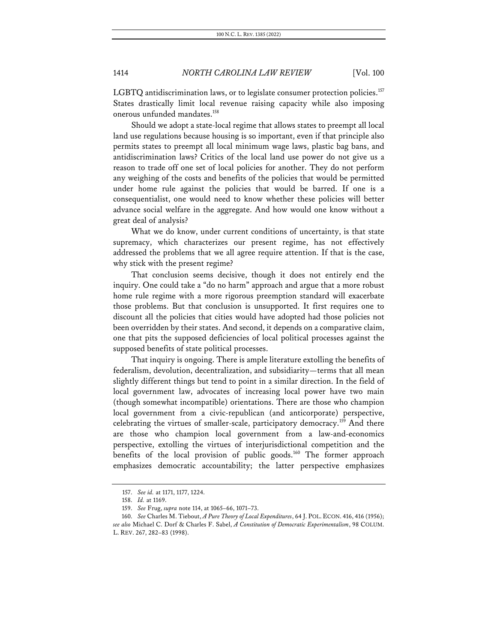LGBTQ antidiscrimination laws, or to legislate consumer protection policies.<sup>157</sup> States drastically limit local revenue raising capacity while also imposing onerous unfunded mandates.<sup>158</sup>

Should we adopt a state-local regime that allows states to preempt all local land use regulations because housing is so important, even if that principle also permits states to preempt all local minimum wage laws, plastic bag bans, and antidiscrimination laws? Critics of the local land use power do not give us a reason to trade off one set of local policies for another. They do not perform any weighing of the costs and benefits of the policies that would be permitted under home rule against the policies that would be barred. If one is a consequentialist, one would need to know whether these policies will better advance social welfare in the aggregate. And how would one know without a great deal of analysis?

What we do know, under current conditions of uncertainty, is that state supremacy, which characterizes our present regime, has not effectively addressed the problems that we all agree require attention. If that is the case, why stick with the present regime?

That conclusion seems decisive, though it does not entirely end the inquiry. One could take a "do no harm" approach and argue that a more robust home rule regime with a more rigorous preemption standard will exacerbate those problems. But that conclusion is unsupported. It first requires one to discount all the policies that cities would have adopted had those policies not been overridden by their states. And second, it depends on a comparative claim, one that pits the supposed deficiencies of local political processes against the supposed benefits of state political processes.

That inquiry is ongoing. There is ample literature extolling the benefits of federalism, devolution, decentralization, and subsidiarity—terms that all mean slightly different things but tend to point in a similar direction. In the field of local government law, advocates of increasing local power have two main (though somewhat incompatible) orientations. There are those who champion local government from a civic-republican (and anticorporate) perspective, celebrating the virtues of smaller-scale, participatory democracy.159 And there are those who champion local government from a law-and-economics perspective, extolling the virtues of interjurisdictional competition and the benefits of the local provision of public goods.<sup>160</sup> The former approach emphasizes democratic accountability; the latter perspective emphasizes

<sup>157.</sup> *See id.* at 1171, 1177, 1224.

<sup>158.</sup> *Id.* at 1169.

<sup>159.</sup> *See* Frug, *supra* note 114, at 1065–66, 1071–73.

<sup>160.</sup> *See* Charles M. Tiebout, *A Pure Theory of Local Expenditures*, 64 J. POL. ECON. 416, 416 (1956); *see also* Michael C. Dorf & Charles F. Sabel, *A Constitution of Democratic Experimentalism*, 98 COLUM.

L. REV. 267, 282–83 (1998).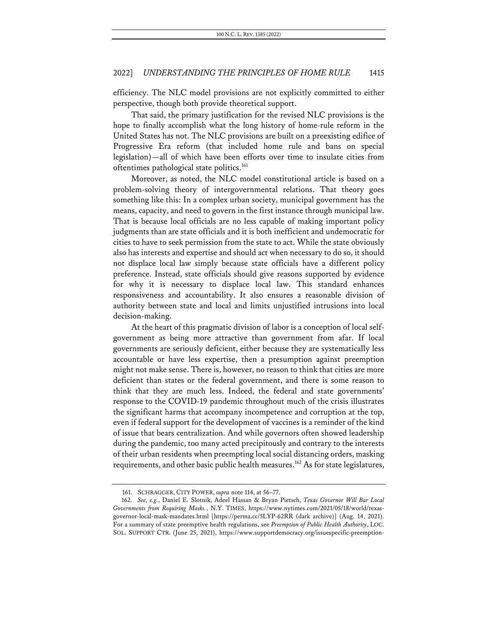efficiency. The NLC model provisions are not explicitly committed to either perspective, though both provide theoretical support.

That said, the primary justification for the revised NLC provisions is the hope to finally accomplish what the long history of home-rule reform in the United States has not. The NLC provisions are built on a preexisting edifice of Progressive Era reform (that included home rule and bans on special legislation)—all of which have been efforts over time to insulate cities from oftentimes pathological state politics.<sup>161</sup>

Moreover, as noted, the NLC model constitutional article is based on a problem-solving theory of intergovernmental relations. That theory goes something like this: In a complex urban society, municipal government has the means, capacity, and need to govern in the first instance through municipal law. That is because local officials are no less capable of making important policy judgments than are state officials and it is both inefficient and undemocratic for cities to have to seek permission from the state to act. While the state obviously also has interests and expertise and should act when necessary to do so, it should not displace local law simply because state officials have a different policy preference. Instead, state officials should give reasons supported by evidence for why it is necessary to displace local law. This standard enhances responsiveness and accountability. It also ensures a reasonable division of authority between state and local and limits unjustified intrusions into local decision-making.

At the heart of this pragmatic division of labor is a conception of local selfgovernment as being more attractive than government from afar. If local governments are seriously deficient, either because they are systematically less accountable or have less expertise, then a presumption against preemption might not make sense. There is, however, no reason to think that cities are more deficient than states or the federal government, and there is some reason to think that they are much less. Indeed, the federal and state governments' response to the COVID-19 pandemic throughout much of the crisis illustrates the significant harms that accompany incompetence and corruption at the top, even if federal support for the development of vaccines is a reminder of the kind of issue that bears centralization. And while governors often showed leadership during the pandemic, too many acted precipitously and contrary to the interests of their urban residents when preempting local social distancing orders, masking requirements, and other basic public health measures.<sup>162</sup> As for state legislatures,

<sup>161.</sup> SCHRAGGER, CITY POWER, *supra* note 114, at 56–77.

<sup>162.</sup> *See, e.g.*, Daniel E. Slotnik, Adeel Hassan & Bryan Pietsch, *Texas Governor Will Bar Local Governments from Requiring Masks.*, N.Y. TIMES, https://www.nytimes.com/2021/05/18/world/texasgovernor-local-mask-mandates.html [https://perma.cc/5LYP-62RR (dark archive)] (Aug. 14, 2021). For a summary of state preemptive health regulations, see *Preemption of Public Health Authority*, LOC. SOL. SUPPORT CTR. (June 25, 2021), https://www.supportdemocracy.org/issuespecific-preemption-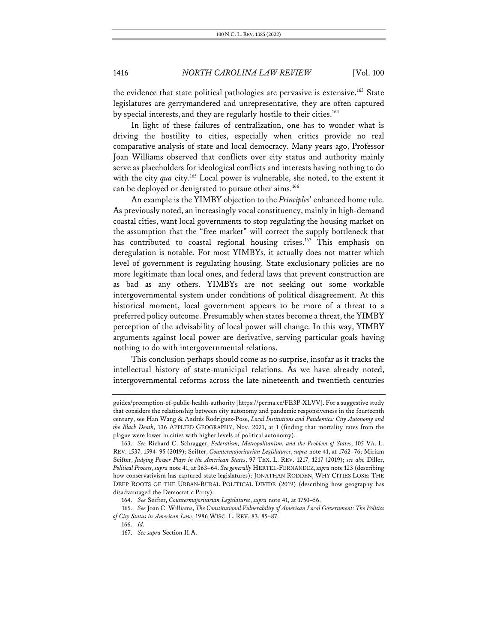the evidence that state political pathologies are pervasive is extensive.<sup>163</sup> State legislatures are gerrymandered and unrepresentative, they are often captured by special interests, and they are regularly hostile to their cities.<sup>164</sup>

In light of these failures of centralization, one has to wonder what is driving the hostility to cities, especially when critics provide no real comparative analysis of state and local democracy. Many years ago, Professor Joan Williams observed that conflicts over city status and authority mainly serve as placeholders for ideological conflicts and interests having nothing to do with the city *qua* city.<sup>165</sup> Local power is vulnerable, she noted, to the extent it can be deployed or denigrated to pursue other aims.<sup>166</sup>

An example is the YIMBY objection to the *Principles*' enhanced home rule. As previously noted, an increasingly vocal constituency, mainly in high-demand coastal cities, want local governments to stop regulating the housing market on the assumption that the "free market" will correct the supply bottleneck that has contributed to coastal regional housing crises.<sup>167</sup> This emphasis on deregulation is notable. For most YIMBYs, it actually does not matter which level of government is regulating housing. State exclusionary policies are no more legitimate than local ones, and federal laws that prevent construction are as bad as any others. YIMBYs are not seeking out some workable intergovernmental system under conditions of political disagreement. At this historical moment, local government appears to be more of a threat to a preferred policy outcome. Presumably when states become a threat, the YIMBY perception of the advisability of local power will change. In this way, YIMBY arguments against local power are derivative, serving particular goals having nothing to do with intergovernmental relations.

This conclusion perhaps should come as no surprise, insofar as it tracks the intellectual history of state-municipal relations. As we have already noted, intergovernmental reforms across the late-nineteenth and twentieth centuries

guides/preemption-of-public-health-authority [https://perma.cc/FE3P-XLVV]. For a suggestive study that considers the relationship between city autonomy and pandemic responsiveness in the fourteenth century, see Han Wang & Andrés Rodríguez-Pose, *Local Institutions and Pandemics: City Autonomy and the Black Death*, 136 APPLIED GEOGRAPHY, Nov. 2021, at 1 (finding that mortality rates from the plague were lower in cities with higher levels of political autonomy).

<sup>163.</sup> *See* Richard C. Schragger, *Federalism, Metropolitanism, and the Problem of States*, 105 VA. L. REV. 1537, 1594–95 (2019); Seifter, *Countermajoritarian Legislatures*, *supra* note 41, at 1762–76; Miriam Seifter, *Judging Power Plays in the American States*, 97 TEX. L. REV. 1217, 1217 (2019); *see also* Diller, *Political Process*, *supra* note 41, at 363–64. *See generally* HERTEL-FERNANDEZ, *supra* note 123 (describing how conservativism has captured state legislatures); JONATHAN RODDEN, WHY CITIES LOSE: THE DEEP ROOTS OF THE URBAN-RURAL POLITICAL DIVIDE (2019) (describing how geography has disadvantaged the Democratic Party).

<sup>164.</sup> *See* Seifter, *Countermajoritarian Legislatures*, *supra* note 41, at 1750–56.

<sup>165.</sup> *See* Joan C. Williams, *The Constitutional Vulnerability of American Local Government: The Politics of City Status in American Law*, 1986 WISC. L. REV. 83, 85–87.

<sup>166.</sup> *Id.*

<sup>167.</sup> *See supra* Section II.A.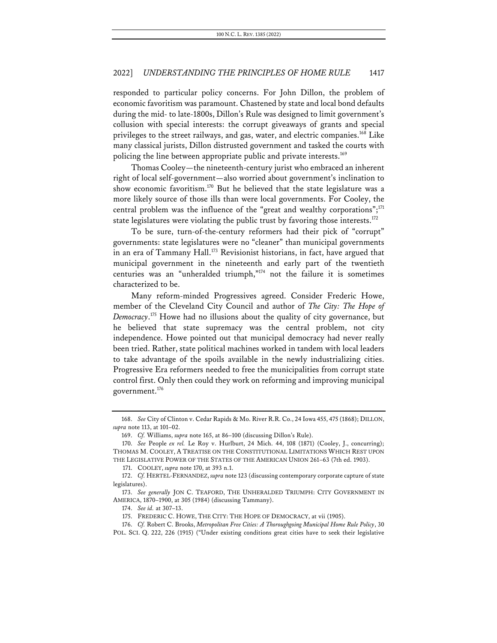responded to particular policy concerns. For John Dillon, the problem of economic favoritism was paramount. Chastened by state and local bond defaults during the mid- to late-1800s, Dillon's Rule was designed to limit government's collusion with special interests: the corrupt giveaways of grants and special privileges to the street railways, and gas, water, and electric companies.<sup>168</sup> Like many classical jurists, Dillon distrusted government and tasked the courts with policing the line between appropriate public and private interests.<sup>169</sup>

Thomas Cooley—the nineteenth-century jurist who embraced an inherent right of local self-government—also worried about government's inclination to show economic favoritism.<sup>170</sup> But he believed that the state legislature was a more likely source of those ills than were local governments. For Cooley, the central problem was the influence of the "great and wealthy corporations";<sup>171</sup> state legislatures were violating the public trust by favoring those interests.<sup>172</sup>

To be sure, turn-of-the-century reformers had their pick of "corrupt" governments: state legislatures were no "cleaner" than municipal governments in an era of Tammany Hall.<sup>173</sup> Revisionist historians, in fact, have argued that municipal government in the nineteenth and early part of the twentieth centuries was an "unheralded triumph,"174 not the failure it is sometimes characterized to be.

Many reform-minded Progressives agreed. Consider Frederic Howe, member of the Cleveland City Council and author of *The City: The Hope of Democracy*. <sup>175</sup> Howe had no illusions about the quality of city governance, but he believed that state supremacy was the central problem, not city independence. Howe pointed out that municipal democracy had never really been tried. Rather, state political machines worked in tandem with local leaders to take advantage of the spoils available in the newly industrializing cities. Progressive Era reformers needed to free the municipalities from corrupt state control first. Only then could they work on reforming and improving municipal government.176

174. *See id.* at 307–13.

175. FREDERIC C. HOWE, THE CITY: THE HOPE OF DEMOCRACY, at vii (1905).

176. *Cf.* Robert C. Brooks, *Metropolitan Free Cities: A Thoroughgoing Municipal Home Rule Policy*, 30 POL. SCI. Q. 222, 226 (1915) ("Under existing conditions great cities have to seek their legislative

<sup>168.</sup> *See* City of Clinton v. Cedar Rapids & Mo. River R.R. Co., 24 Iowa 455, 475 (1868); DILLON, *supra* note 113, at 101–02.

<sup>169.</sup> *Cf.* Williams, *supra* note 165, at 86–100 (discussing Dillon's Rule).

<sup>170.</sup> *See* People *ex rel.* Le Roy v. Hurlburt, 24 Mich. 44, 108 (1871) (Cooley, J., concurring); THOMAS M. COOLEY, A TREATISE ON THE CONSTITUTIONAL LIMITATIONS WHICH REST UPON THE LEGISLATIVE POWER OF THE STATES OF THE AMERICAN UNION 261–63 (7th ed. 1903).

<sup>171.</sup> COOLEY, *supra* note 170, at 393 n.1.

<sup>172.</sup> *Cf.* HERTEL-FERNANDEZ, *supra* note 123 (discussing contemporary corporate capture of state legislatures).

<sup>173.</sup> *See generally* JON C. TEAFORD, THE UNHERALDED TRIUMPH: CITY GOVERNMENT IN AMERICA, 1870–1900, at 305 (1984) (discussing Tammany).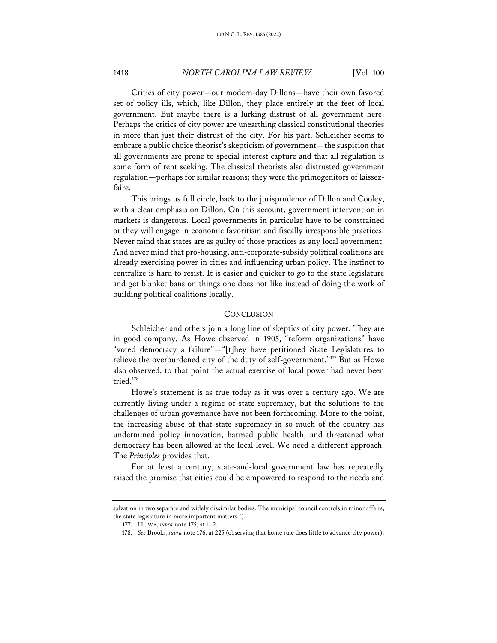Critics of city power—our modern-day Dillons—have their own favored set of policy ills, which, like Dillon, they place entirely at the feet of local government. But maybe there is a lurking distrust of all government here. Perhaps the critics of city power are unearthing classical constitutional theories in more than just their distrust of the city. For his part, Schleicher seems to embrace a public choice theorist's skepticism of government—the suspicion that all governments are prone to special interest capture and that all regulation is some form of rent seeking. The classical theorists also distrusted government regulation—perhaps for similar reasons; they were the primogenitors of laissezfaire.

This brings us full circle, back to the jurisprudence of Dillon and Cooley, with a clear emphasis on Dillon. On this account, government intervention in markets is dangerous. Local governments in particular have to be constrained or they will engage in economic favoritism and fiscally irresponsible practices. Never mind that states are as guilty of those practices as any local government. And never mind that pro-housing, anti-corporate-subsidy political coalitions are already exercising power in cities and influencing urban policy. The instinct to centralize is hard to resist. It is easier and quicker to go to the state legislature and get blanket bans on things one does not like instead of doing the work of building political coalitions locally.

#### **CONCLUSION**

Schleicher and others join a long line of skeptics of city power. They are in good company. As Howe observed in 1905, "reform organizations" have "voted democracy a failure"—"[t]hey have petitioned State Legislatures to relieve the overburdened city of the duty of self-government."<sup>177</sup> But as Howe also observed, to that point the actual exercise of local power had never been tried.178

Howe's statement is as true today as it was over a century ago. We are currently living under a regime of state supremacy, but the solutions to the challenges of urban governance have not been forthcoming. More to the point, the increasing abuse of that state supremacy in so much of the country has undermined policy innovation, harmed public health, and threatened what democracy has been allowed at the local level. We need a different approach. The *Principles* provides that.

For at least a century, state-and-local government law has repeatedly raised the promise that cities could be empowered to respond to the needs and

salvation in two separate and widely dissimilar bodies. The municipal council controls in minor affairs, the state legislature in more important matters.").

<sup>177.</sup> HOWE, *supra* note 175, at 1–2.

<sup>178.</sup> *See* Brooks, *supra* note 176, at 225 (observing that home rule does little to advance city power).